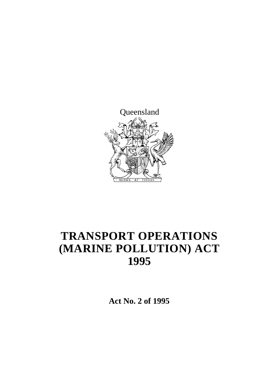

# **TRANSPORT OPERATIONS (MARINE POLLUTION) ACT 1995**

**Act No. 2 of 1995**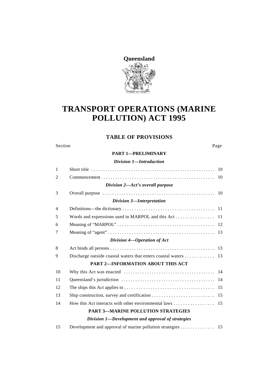

## **TRANSPORT OPERATIONS (MARINE POLLUTION) ACT 1995**

### **TABLE OF PROVISIONS**

#### Section Page

#### **PART 1—PRELIMINARY**

*Division 1—Introduction*

| $\mathbf{1}$   |                                                         |  |
|----------------|---------------------------------------------------------|--|
| 2              |                                                         |  |
|                | Division 2—Act's overall purpose                        |  |
| 3              |                                                         |  |
|                | Division 3-Interpretation                               |  |
| $\overline{4}$ |                                                         |  |
| 5              |                                                         |  |
| 6              |                                                         |  |
| 7              |                                                         |  |
|                | Division 4-Operation of Act                             |  |
| 8              |                                                         |  |
| 9              |                                                         |  |
|                | PART 2-INFORMATION ABOUT THIS ACT                       |  |
| 10             |                                                         |  |
| 11             |                                                         |  |
| 12             |                                                         |  |
| 13             |                                                         |  |
| 14             | How this Act interacts with other environmental laws 15 |  |
|                | <b>PART 3-MARINE POLLUTION STRATEGIES</b>               |  |
|                | Division 1-Development and approval of strategies       |  |

15 Development and approval of marine pollution strategies . . . . . . . . . . . . . . 15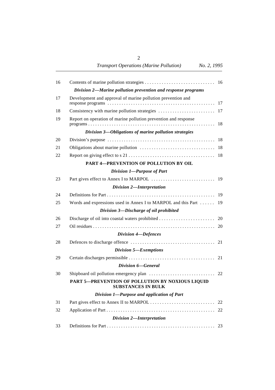| Division 2-Marine pollution prevention and response programs                  |                                                                   |
|-------------------------------------------------------------------------------|-------------------------------------------------------------------|
| Development and approval of marine pollution prevention and                   |                                                                   |
|                                                                               |                                                                   |
| Report on operation of marine pollution prevention and response               |                                                                   |
| Division 3-Obligations of marine pollution strategies                         |                                                                   |
|                                                                               |                                                                   |
|                                                                               |                                                                   |
|                                                                               |                                                                   |
| PART 4-PREVENTION OF POLLUTION BY OIL                                         |                                                                   |
| Division 1-Purpose of Part                                                    |                                                                   |
|                                                                               |                                                                   |
| Division 2-Interpretation                                                     |                                                                   |
|                                                                               |                                                                   |
|                                                                               |                                                                   |
| Division 3-Discharge of oil prohibited                                        |                                                                   |
|                                                                               |                                                                   |
|                                                                               |                                                                   |
| Division 4-Defences                                                           |                                                                   |
|                                                                               |                                                                   |
| Division 5-Exemptions                                                         |                                                                   |
|                                                                               |                                                                   |
| Division 6-General                                                            |                                                                   |
|                                                                               |                                                                   |
| PART 5-PREVENTION OF POLLUTION BY NOXIOUS LIQUID<br><b>SUBSTANCES IN BULK</b> |                                                                   |
| Division 1-Purpose and application of Part                                    |                                                                   |
|                                                                               | 22                                                                |
|                                                                               | 22                                                                |
| Division 2-Interpretation                                                     |                                                                   |
|                                                                               |                                                                   |
|                                                                               | Words and expressions used in Annex I to MARPOL and this Part  19 |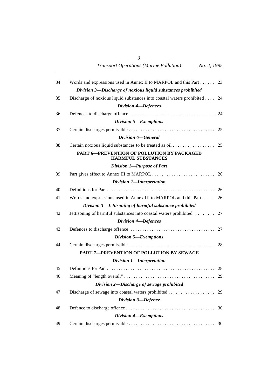| 34 | Words and expressions used in Annex II to MARPOL and this Part 23       |    |
|----|-------------------------------------------------------------------------|----|
|    | Division 3-Discharge of noxious liquid substances prohibited            |    |
| 35 | Discharge of noxious liquid substances into coastal waters prohibited   | 24 |
|    | Division 4-Defences                                                     |    |
| 36 |                                                                         |    |
|    | Division 5-Exemptions                                                   |    |
| 37 |                                                                         |    |
|    | Division 6-General                                                      |    |
| 38 | Certain noxious liquid substances to be treated as oil 25               |    |
|    | PART 6-PREVENTION OF POLLUTION BY PACKAGED<br><b>HARMFUL SUBSTANCES</b> |    |
|    | Division 1-Purpose of Part                                              |    |
| 39 |                                                                         |    |
|    | Division 2-Interpretation                                               |    |
| 40 |                                                                         |    |
| 41 | Words and expressions used in Annex III to MARPOL and this Part 26      |    |
|    | Division 3-Jettisoning of harmful substance prohibited                  |    |
| 42 | Jettisoning of harmful substances into coastal waters prohibited  27    |    |
|    | Division 4-Defences                                                     |    |
| 43 |                                                                         |    |
|    | Division 5-Exemptions                                                   |    |
| 44 |                                                                         |    |
|    | PART 7-PREVENTION OF POLLUTION BY SEWAGE                                |    |
|    | Division 1-Interpretation                                               |    |
| 45 |                                                                         |    |
| 46 |                                                                         |    |
|    | Division 2-Discharge of sewage prohibited                               |    |
| 47 | Discharge of sewage into coastal waters prohibited                      | 29 |
|    | Division 3-Defence                                                      |    |
| 48 |                                                                         | 30 |
|    | Division 4-Exemptions                                                   |    |
| 49 |                                                                         | 30 |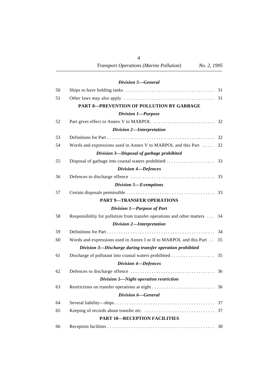|    | Division 5-General                                                          |    |
|----|-----------------------------------------------------------------------------|----|
| 50 |                                                                             |    |
| 51 |                                                                             |    |
|    | PART 8-PREVENTION OF POLLUTION BY GARBAGE                                   |    |
|    | <b>Division 1-Purpose</b>                                                   |    |
| 52 |                                                                             |    |
|    | Division 2-Interpretation                                                   |    |
| 53 |                                                                             |    |
| 54 | Words and expressions used in Annex V to MARPOL and this Part  32           |    |
|    | Division 3-Disposal of garbage prohibited                                   |    |
| 55 |                                                                             |    |
|    | Division 4-Defences                                                         |    |
| 56 |                                                                             |    |
|    | Division 5-Exemptions                                                       |    |
| 57 |                                                                             |    |
|    | <b>PART 9-TRANSFER OPERATIONS</b>                                           |    |
|    | Division 1-Purpose of Part                                                  |    |
| 58 | Responsibility for pollution from transfer operations and other matters  34 |    |
|    | Division 2-Interpretation                                                   |    |
| 59 |                                                                             |    |
| 60 | Words and expressions used in Annex I or II to MARPOL and this Part         | 35 |
|    | Division 3-Discharge during transfer operation prohibited                   |    |
| 61 |                                                                             |    |
|    | Division 4-Defences                                                         |    |
| 62 |                                                                             |    |
|    | Division 5-Night operation restriction                                      |    |
| 63 |                                                                             |    |
|    | Division 6-General                                                          |    |
| 64 |                                                                             | 37 |
| 65 |                                                                             | 37 |
|    | <b>PART 10-RECEPTION FACILITIES</b>                                         |    |
| 66 |                                                                             |    |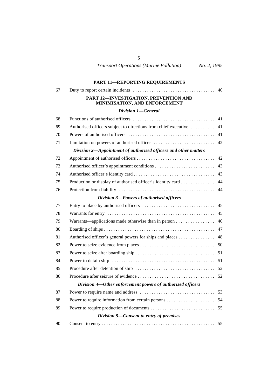|    | <b>PART 11-REPORTING REQUIREMENTS</b>                                  |    |
|----|------------------------------------------------------------------------|----|
| 67 |                                                                        | 40 |
|    | PART 12-INVESTIGATION, PREVENTION AND<br>MINIMISATION, AND ENFORCEMENT |    |
|    | Division 1-General                                                     |    |
| 68 |                                                                        | 41 |
| 69 | Authorised officers subject to directions from chief executive         | 41 |
| 70 |                                                                        | 41 |
| 71 |                                                                        | 42 |
|    | Division 2-Appointment of authorised officers and other matters        |    |
| 72 |                                                                        | 42 |
| 73 |                                                                        | 43 |
| 74 |                                                                        |    |
| 75 | Production or display of authorised officer's identity card            | 44 |
| 76 |                                                                        | 44 |
|    | Division 3-Powers of authorised officers                               |    |
| 77 |                                                                        |    |
| 78 |                                                                        |    |
| 79 | Warrants—applications made otherwise than in person                    | 46 |
| 80 |                                                                        | 47 |
| 81 | Authorised officer's general powers for ships and places               | 48 |
| 82 |                                                                        |    |
| 83 |                                                                        |    |
| 84 |                                                                        |    |
| 85 |                                                                        |    |
| 86 |                                                                        |    |
|    | Division 4-Other enforcement powers of authorised officers             |    |
| 87 |                                                                        | 53 |
| 88 |                                                                        | 54 |
| 89 |                                                                        | 55 |
|    | Division 5-Consent to entry of premises                                |    |
| 90 |                                                                        | 55 |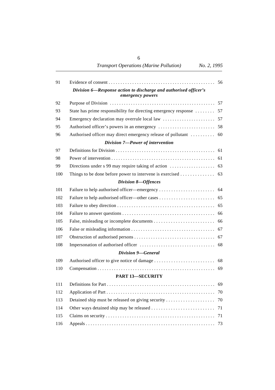*Transport Operations (Marine Pollution) No. 2, 1995*

| 91  |                                                                                      | 56 |
|-----|--------------------------------------------------------------------------------------|----|
|     | Division 6—Response action to discharge and authorised officer's<br>emergency powers |    |
| 92  |                                                                                      |    |
| 93  | State has prime responsibility for directing emergency response  57                  |    |
| 94  |                                                                                      |    |
| 95  |                                                                                      |    |
| 96  | Authorised officer may direct emergency release of pollutant  60                     |    |
|     | Division 7-Power of intervention                                                     |    |
| 97  |                                                                                      |    |
| 98  |                                                                                      |    |
| 99  |                                                                                      |    |
| 100 | Things to be done before power to intervene is exercised 63                          |    |
|     | Division 8-Offences                                                                  |    |
| 101 |                                                                                      |    |
| 102 |                                                                                      |    |
| 103 |                                                                                      | 65 |
| 104 |                                                                                      |    |
| 105 |                                                                                      |    |
| 106 |                                                                                      |    |
| 107 |                                                                                      |    |
| 108 |                                                                                      |    |
|     | Division 9-General                                                                   |    |
| 109 |                                                                                      |    |
| 110 |                                                                                      | 69 |
|     | <b>PART 13-SECURITY</b>                                                              |    |
| 111 |                                                                                      |    |
| 112 |                                                                                      | 70 |
| 113 | Detained ship must be released on giving security                                    | 70 |
| 114 |                                                                                      | 71 |
| 115 |                                                                                      | 71 |
| 116 |                                                                                      | 73 |
|     |                                                                                      |    |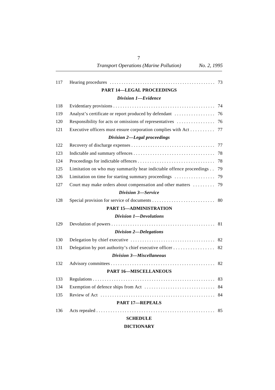7

| 117 |                                                                     | 73 |
|-----|---------------------------------------------------------------------|----|
|     | <b>PART 14-LEGAL PROCEEDINGS</b>                                    |    |
|     | Division 1-Evidence                                                 |    |
| 118 |                                                                     | 74 |
| 119 |                                                                     |    |
| 120 | Responsibility for acts or omissions of representatives             | 76 |
| 121 | Executive officers must ensure corporation complies with Act        | 77 |
|     | Division 2-Legal proceedings                                        |    |
| 122 |                                                                     | 77 |
| 123 |                                                                     | 78 |
| 124 |                                                                     | 78 |
| 125 | Limitation on who may summarily hear indictable offence proceedings | 79 |
| 126 | Limitation on time for starting summary proceedings                 | 79 |
| 127 | Court may make orders about compensation and other matters          | 79 |
|     | <b>Division 3-Service</b>                                           |    |
| 128 |                                                                     | 80 |
|     | <b>PART 15-ADMINISTRATION</b>                                       |    |
|     | <b>Division 1-Devolutions</b>                                       |    |
| 129 |                                                                     | 81 |
|     | Division 2-Delegations                                              |    |
| 130 |                                                                     |    |
| 131 |                                                                     | 82 |
|     | Division 3-Miscellaneous                                            |    |
| 132 |                                                                     | 82 |
|     | <b>PART 16-MISCELLANEOUS</b>                                        |    |
| 133 |                                                                     | 83 |
| 134 |                                                                     | 84 |
| 135 |                                                                     | 84 |
|     | <b>PART 17-REPEALS</b>                                              |    |
| 136 |                                                                     |    |
|     | <b>SCHEDULE</b>                                                     |    |

#### **DICTIONARY**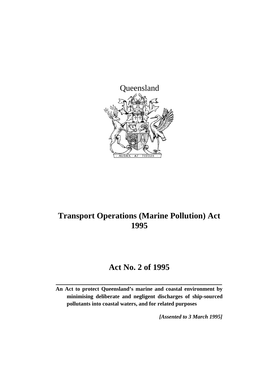

## **Transport Operations (Marine Pollution) Act 1995**

## **Act No. 2 of 1995**

**An Act to protect Queensland's marine and coastal environment by minimising deliberate and negligent discharges of ship-sourced pollutants into coastal waters, and for related purposes**

*[Assented to 3 March 1995]*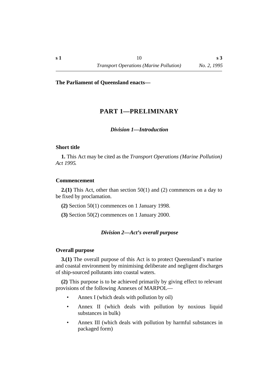## **†PART 1—PRELIMINARY**

#### *†Division 1—Introduction*

#### **˙Short title**

**1.** This Act may be cited as the *Transport Operations (Marine Pollution) Act 1995*.

#### **˙Commencement**

**2.(1)** This Act, other than section 50(1) and (2) commences on a day to be fixed by proclamation.

**(2)** Section 50(1) commences on 1 January 1998.

**(3)** Section 50(2) commences on 1 January 2000.

#### *†Division 2—Act's overall purpose*

#### **˙Overall purpose**

**3.(1)** The overall purpose of this Act is to protect Queensland's marine and coastal environment by minimising deliberate and negligent discharges of ship-sourced pollutants into coastal waters.

**(2)** This purpose is to be achieved primarily by giving effect to relevant provisions of the following Annexes of MARPOL—

- Annex I (which deals with pollution by oil)
- Annex II (which deals with pollution by noxious liquid substances in bulk)
- Annex III (which deals with pollution by harmful substances in packaged form)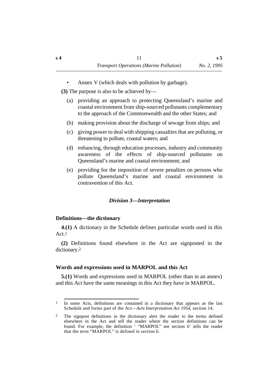Annex V (which deals with pollution by garbage).

**(3)** The purpose is also to be achieved by—

- (a) providing an approach to protecting Queensland's marine and coastal environment from ship-sourced pollutants complementary to the approach of the Commonwealth and the other States; and
- (b) making provision about the discharge of sewage from ships; and
- (c) giving power to deal with shipping casualties that are polluting, or threatening to pollute, coastal waters; and
- (d) enhancing, through education processes, industry and community awareness of the effects of ship-sourced pollutants on Queensland's marine and coastal environment; and
- (e) providing for the imposition of severe penalties on persons who pollute Queensland's marine and coastal environment in contravention of this Act.

#### *†Division 3—Interpretation*

#### **˙Definitions—the dictionary**

**4.(1)** A dictionary in the Schedule defines particular words used in this Act.1

**(2)** Definitions found elsewhere in the Act are signposted in the dictionary.2

#### **˙Words and expressions used in MARPOL and this Act**

**5.(1)** Words and expressions used in MARPOL (other than in an annex) and this Act have the same meanings in this Act they have in MARPOL.

<sup>1</sup> In some Acts, definitions are contained in a dictionary that appears as the last Schedule and forms part of the Act—*Acts Interpretation Act 1954*, section 14.

<sup>2</sup> The signpost definitions in the dictionary alert the reader to the terms defined elsewhere in the Act and tell the reader where the section definitions can be found. For example, the definition ' "MARPOL" see section 6' tells the reader that the term "MARPOL" is defined in section 6.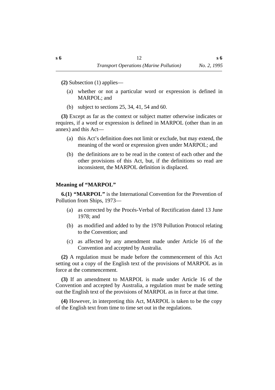**(2)** Subsection (1) applies—

- (a) whether or not a particular word or expression is defined in MARPOL; and
- (b) subject to sections 25, 34, 41, 54 and 60.

**(3)** Except as far as the context or subject matter otherwise indicates or requires, if a word or expression is defined in MARPOL (other than in an annex) and this Act—

- (a) this Act's definition does not limit or exclude, but may extend, the meaning of the word or expression given under MARPOL; and
- (b) the definitions are to be read in the context of each other and the other provisions of this Act, but, if the definitions so read are inconsistent, the MARPOL definition is displaced.

#### **˙Meaning of "MARPOL"**

**6.(1) "MARPOL"** is the International Convention for the Prevention of Pollution from Ships, 1973—

- (a) as corrected by the Procés-Verbal of Rectification dated 13 June 1978; and
- (b) as modified and added to by the 1978 Pollution Protocol relating to the Convention; and
- (c) as affected by any amendment made under Article 16 of the Convention and accepted by Australia.

**(2)** A regulation must be made before the commencement of this Act setting out a copy of the English text of the provisions of MARPOL as in force at the commencement.

**(3)** If an amendment to MARPOL is made under Article 16 of the Convention and accepted by Australia, a regulation must be made setting out the English text of the provisions of MARPOL as in force at that time.

**(4)** However, in interpreting this Act, MARPOL is taken to be the copy of the English text from time to time set out in the regulations.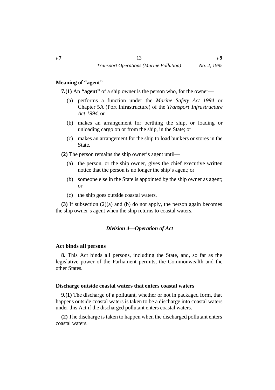#### **˙Meaning of "agent"**

**7.(1)** An **"agent"** of a ship owner is the person who, for the owner—

- (a) performs a function under the *Marine Safety Act 1994* or Chapter 5A (Port Infrastructure) of the *Transport Infrastructure Act 1994*; or
- (b) makes an arrangement for berthing the ship, or loading or unloading cargo on or from the ship, in the State; or
- (c) makes an arrangement for the ship to load bunkers or stores in the State.

**(2)** The person remains the ship owner's agent until—

- (a) the person, or the ship owner, gives the chief executive written notice that the person is no longer the ship's agent; or
- (b) someone else in the State is appointed by the ship owner as agent; or
- (c) the ship goes outside coastal waters.

**(3)** If subsection (2)(a) and (b) do not apply, the person again becomes the ship owner's agent when the ship returns to coastal waters.

## *†Division 4—Operation of Act*

#### **˙Act binds all persons**

**8.** This Act binds all persons, including the State, and, so far as the legislative power of the Parliament permits, the Commonwealth and the other States.

#### **˙Discharge outside coastal waters that enters coastal waters**

**9.(1)** The discharge of a pollutant, whether or not in packaged form, that happens outside coastal waters is taken to be a discharge into coastal waters under this Act if the discharged pollutant enters coastal waters.

**(2)** The discharge is taken to happen when the discharged pollutant enters coastal waters.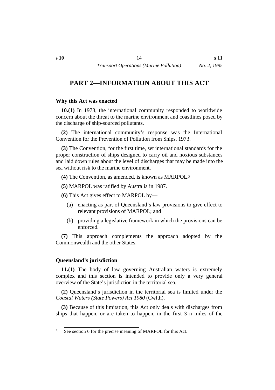## **†PART 2—INFORMATION ABOUT THIS ACT**

#### **˙Why this Act was enacted**

**10.(1)** In 1973, the international community responded to worldwide concern about the threat to the marine environment and coastlines posed by the discharge of ship-sourced pollutants.

**(2)** The international community's response was the International Convention for the Prevention of Pollution from Ships, 1973.

**(3)** The Convention, for the first time, set international standards for the proper construction of ships designed to carry oil and noxious substances and laid down rules about the level of discharges that may be made into the sea without risk to the marine environment.

**(4)** The Convention, as amended, is known as MARPOL.3

**(5)** MARPOL was ratified by Australia in 1987.

**(6)** This Act gives effect to MARPOL by—

- (a) enacting as part of Queensland's law provisions to give effect to relevant provisions of MARPOL; and
- (b) providing a legislative framework in which the provisions can be enforced.

**(7)** This approach complements the approach adopted by the Commonwealth and the other States.

## **˙Queensland's jurisdiction**

**11.(1)** The body of law governing Australian waters is extremely complex and this section is intended to provide only a very general overview of the State's jurisdiction in the territorial sea.

**(2)** Queensland's jurisdiction in the territorial sea is limited under the *Coastal Waters (State Powers) Act 1980* (Cwlth).

**(3)** Because of this limitation, this Act only deals with discharges from ships that happen, or are taken to happen, in the first 3 n miles of the

<sup>3</sup> See section 6 for the precise meaning of MARPOL for this Act.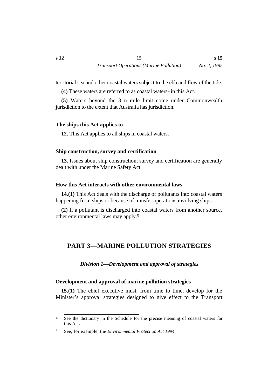territorial sea and other coastal waters subject to the ebb and flow of the tide.

**(4)** These waters are referred to as coastal waters4 in this Act.

**(5)** Waters beyond the 3 n mile limit come under Commonwealth jurisdiction to the extent that Australia has jurisdiction.

#### **˙The ships this Act applies to**

**12.** This Act applies to all ships in coastal waters.

#### **˙Ship construction, survey and certification**

**13.** Issues about ship construction, survey and certification are generally dealt with under the Marine Safety Act.

#### **˙How this Act interacts with other environmental laws**

**14.(1)** This Act deals with the discharge of pollutants into coastal waters happening from ships or because of transfer operations involving ships.

**(2)** If a pollutant is discharged into coastal waters from another source, other environmental laws may apply.5

## **†PART 3—MARINE POLLUTION STRATEGIES**

#### *†Division 1—Development and approval of strategies*

#### **˙Development and approval of marine pollution strategies**

**15.(1)** The chief executive must, from time to time, develop for the Minister's approval strategies designed to give effect to the Transport

<sup>4</sup> See the dictionary in the Schedule for the precise meaning of coastal waters for this Act.

<sup>5</sup> See, for example, the *Environmental Protection Act 1994*.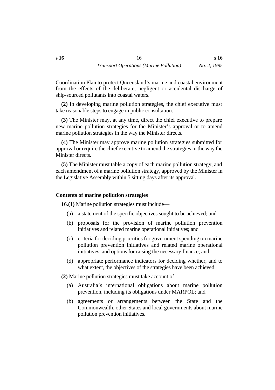Coordination Plan to protect Queensland's marine and coastal environment from the effects of the deliberate, negligent or accidental discharge of ship-sourced pollutants into coastal waters.

**(2)** In developing marine pollution strategies, the chief executive must take reasonable steps to engage in public consultation.

**(3)** The Minister may, at any time, direct the chief executive to prepare new marine pollution strategies for the Minister's approval or to amend marine pollution strategies in the way the Minister directs.

**(4)** The Minister may approve marine pollution strategies submitted for approval or require the chief executive to amend the strategies in the way the Minister directs.

**(5)** The Minister must table a copy of each marine pollution strategy, and each amendment of a marine pollution strategy, approved by the Minister in the Legislative Assembly within 5 sitting days after its approval.

#### **˙Contents of marine pollution strategies**

**16.(1)** Marine pollution strategies must include—

- (a) a statement of the specific objectives sought to be achieved; and
- (b) proposals for the provision of marine pollution prevention initiatives and related marine operational initiatives; and
- (c) criteria for deciding priorities for government spending on marine pollution prevention initiatives and related marine operational initiatives, and options for raising the necessary finance; and
- (d) appropriate performance indicators for deciding whether, and to what extent, the objectives of the strategies have been achieved.
- **(2)** Marine pollution strategies must take account of—
	- (a) Australia's international obligations about marine pollution prevention, including its obligations under MARPOL; and
	- (b) agreements or arrangements between the State and the Commonwealth, other States and local governments about marine pollution prevention initiatives.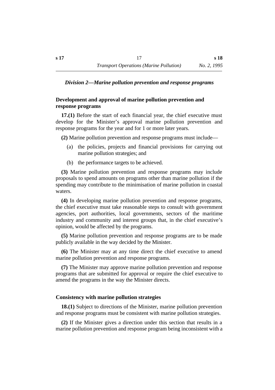#### *†Division 2—Marine pollution prevention and response programs*

## **˙Development and approval of marine pollution prevention and response programs**

**17.(1)** Before the start of each financial year, the chief executive must develop for the Minister's approval marine pollution prevention and response programs for the year and for 1 or more later years.

**(2)** Marine pollution prevention and response programs must include—

- (a) the policies, projects and financial provisions for carrying out marine pollution strategies; and
- (b) the performance targets to be achieved.

**(3)** Marine pollution prevention and response programs may include proposals to spend amounts on programs other than marine pollution if the spending may contribute to the minimisation of marine pollution in coastal waters.

**(4)** In developing marine pollution prevention and response programs, the chief executive must take reasonable steps to consult with government agencies, port authorities, local governments, sectors of the maritime industry and community and interest groups that, in the chief executive's opinion, would be affected by the programs.

**(5)** Marine pollution prevention and response programs are to be made publicly available in the way decided by the Minister.

**(6)** The Minister may at any time direct the chief executive to amend marine pollution prevention and response programs.

**(7)** The Minister may approve marine pollution prevention and response programs that are submitted for approval or require the chief executive to amend the programs in the way the Minister directs.

#### **˙Consistency with marine pollution strategies**

**18.(1)** Subject to directions of the Minister, marine pollution prevention and response programs must be consistent with marine pollution strategies.

**(2)** If the Minister gives a direction under this section that results in a marine pollution prevention and response program being inconsistent with a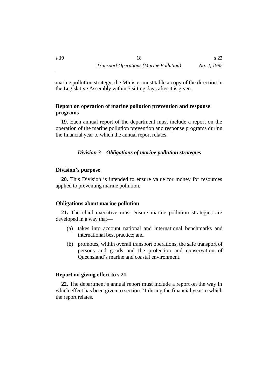marine pollution strategy, the Minister must table a copy of the direction in the Legislative Assembly within 5 sitting days after it is given.

## **˙Report on operation of marine pollution prevention and response programs**

**19.** Each annual report of the department must include a report on the operation of the marine pollution prevention and response programs during the financial year to which the annual report relates.

## *†Division 3—Obligations of marine pollution strategies*

#### **˙Division's purpose**

**20.** This Division is intended to ensure value for money for resources applied to preventing marine pollution.

#### **˙Obligations about marine pollution**

**21.** The chief executive must ensure marine pollution strategies are developed in a way that—

- (a) takes into account national and international benchmarks and international best practice; and
- (b) promotes, within overall transport operations, the safe transport of persons and goods and the protection and conservation of Queensland's marine and coastal environment.

#### **˙Report on giving effect to s 21**

**22.** The department's annual report must include a report on the way in which effect has been given to section 21 during the financial year to which the report relates.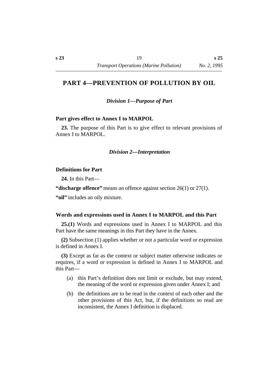## **†PART 4—PREVENTION OF POLLUTION BY OIL**

*†Division 1—Purpose of Part*

#### **˙Part gives effect to Annex I to MARPOL**

**23.** The purpose of this Part is to give effect to relevant provisions of Annex I to MARPOL.

#### *†Division 2—Interpretation*

#### **˙Definitions for Part**

**24.** In this Part—

**"discharge offence"** means an offence against section 26(1) or 27(1).

**"oil"** includes an oily mixture.

#### **˙Words and expressions used in Annex I to MARPOL and this Part**

**25.(1)** Words and expressions used in Annex I to MARPOL and this Part have the same meanings in this Part they have in the Annex.

**(2)** Subsection (1) applies whether or not a particular word or expression is defined in Annex I.

**(3)** Except as far as the context or subject matter otherwise indicates or requires, if a word or expression is defined in Annex I to MARPOL and this Part—

- (a) this Part's definition does not limit or exclude, but may extend, the meaning of the word or expression given under Annex I; and
- (b) the definitions are to be read in the context of each other and the other provisions of this Act, but, if the definitions so read are inconsistent, the Annex I definition is displaced.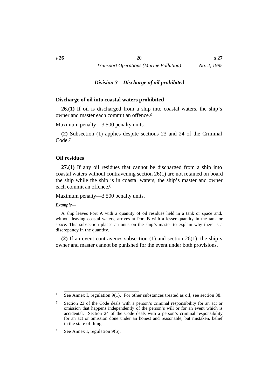#### *†Division 3—Discharge of oil prohibited*

#### **˙Discharge of oil into coastal waters prohibited**

**26.(1)** If oil is discharged from a ship into coastal waters, the ship's owner and master each commit an offence 6

Maximum penalty—3 500 penalty units.

**(2)** Subsection (1) applies despite sections 23 and 24 of the Criminal Code.<sup>7</sup>

#### **˙Oil residues**

**27.(1)** If any oil residues that cannot be discharged from a ship into coastal waters without contravening section 26(1) are not retained on board the ship while the ship is in coastal waters, the ship's master and owner each commit an offence.8

#### Maximum penalty—3 500 penalty units.

#### *Example—*

A ship leaves Port A with a quantity of oil residues held in a tank or space and, without leaving coastal waters, arrives at Port B with a lesser quantity in the tank or space. This subsection places an onus on the ship's master to explain why there is a discrepancy in the quantity.

**(2)** If an event contravenes subsection (1) and section 26(1), the ship's owner and master cannot be punished for the event under both provisions.

<sup>6</sup> See Annex I, regulation 9(1). For other substances treated as oil, see section 38.

<sup>7</sup> Section 23 of the Code deals with a person's criminal responsibility for an act or omission that happens independently of the person's will or for an event which is accidental. Section 24 of the Code deals with a person's criminal responsibility for an act or omission done under an honest and reasonable, but mistaken, belief in the state of things.

<sup>8</sup> See Annex I, regulation 9(6).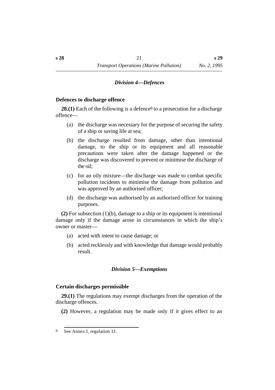#### *†Division 4—Defences*

#### **˙Defences to discharge offence**

**28.(1)** Each of the following is a defence<sup>9</sup> to a prosecution for a discharge offence—

- (a) the discharge was necessary for the purpose of securing the safety of a ship or saving life at sea;
- (b) the discharge resulted from damage, other than intentional damage, to the ship or its equipment and all reasonable precautions were taken after the damage happened or the discharge was discovered to prevent or minimise the discharge of the oil;
- (c) for an oily mixture—the discharge was made to combat specific pollution incidents to minimise the damage from pollution and was approved by an authorised officer;
- (d) the discharge was authorised by an authorised officer for training purposes.

**(2)** For subsection (1)(b), damage to a ship or its equipment is intentional damage only if the damage arose in circumstances in which the ship's owner or master—

- (a) acted with intent to cause damage; or
- (b) acted recklessly and with knowledge that damage would probably result.

#### *†Division 5—Exemptions*

#### **˙Certain discharges permissible**

**29.(1)** The regulations may exempt discharges from the operation of the discharge offences.

**(2)** However, a regulation may be made only if it gives effect to an

<sup>9</sup> See Annex I, regulation 11.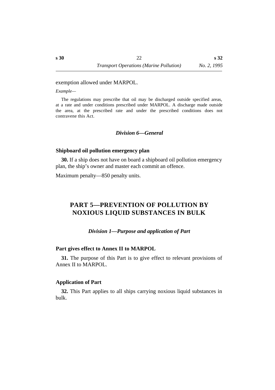**s 32**

exemption allowed under MARPOL.

*Example—*

The regulations may prescribe that oil may be discharged outside specified areas, at a rate and under conditions prescribed under MARPOL. A discharge made outside the area, at the prescribed rate and under the prescribed conditions does not contravene this Act.

#### *†Division 6—General*

#### **˙Shipboard oil pollution emergency plan**

**30.** If a ship does not have on board a shipboard oil pollution emergency plan, the ship's owner and master each commit an offence.

Maximum penalty—850 penalty units.

## **†PART 5—PREVENTION OF POLLUTION BY NOXIOUS LIQUID SUBSTANCES IN BULK**

#### *†Division 1—Purpose and application of Part*

#### **˙Part gives effect to Annex II to MARPOL**

**31.** The purpose of this Part is to give effect to relevant provisions of Annex II to MARPOL.

#### **˙Application of Part**

**32.** This Part applies to all ships carrying noxious liquid substances in bulk.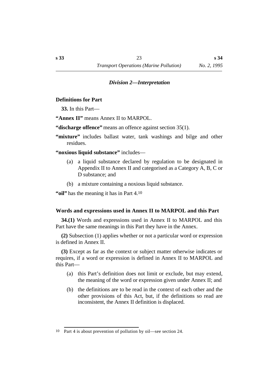#### *†Division 2—Interpretation*

#### **˙Definitions for Part**

**33.** In this Part—

**"Annex II"** means Annex II to MARPOL.

**"discharge offence"** means an offence against section 35(1).

- "mixture" includes ballast water, tank washings and bilge and other residues.
- **"noxious liquid substance"** includes—
	- (a) a liquid substance declared by regulation to be designated in Appendix II to Annex II and categorised as a Category A, B, C or D substance; and
	- (b) a mixture containing a noxious liquid substance.

**"oil"** has the meaning it has in Part 4.10

#### **˙Words and expressions used in Annex II to MARPOL and this Part**

**34.(1)** Words and expressions used in Annex II to MARPOL and this Part have the same meanings in this Part they have in the Annex.

**(2)** Subsection (1) applies whether or not a particular word or expression is defined in Annex II.

**(3)** Except as far as the context or subject matter otherwise indicates or requires, if a word or expression is defined in Annex II to MARPOL and this Part—

- (a) this Part's definition does not limit or exclude, but may extend, the meaning of the word or expression given under Annex II; and
- (b) the definitions are to be read in the context of each other and the other provisions of this Act, but, if the definitions so read are inconsistent, the Annex II definition is displaced.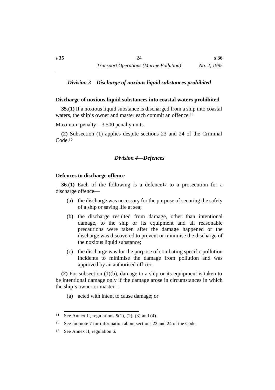#### *†Division 3—Discharge of noxious liquid substances prohibited*

#### **˙Discharge of noxious liquid substances into coastal waters prohibited**

**35.(1)** If a noxious liquid substance is discharged from a ship into coastal waters, the ship's owner and master each commit an offence.<sup>11</sup>

Maximum penalty—3 500 penalty units.

**(2)** Subsection (1) applies despite sections 23 and 24 of the Criminal Code.12

#### *†Division 4—Defences*

#### **˙Defences to discharge offence**

**36.(1)** Each of the following is a defence<sup>13</sup> to a prosecution for a discharge offence—

- (a) the discharge was necessary for the purpose of securing the safety of a ship or saving life at sea;
- (b) the discharge resulted from damage, other than intentional damage, to the ship or its equipment and all reasonable precautions were taken after the damage happened or the discharge was discovered to prevent or minimise the discharge of the noxious liquid substance;
- (c) the discharge was for the purpose of combating specific pollution incidents to minimise the damage from pollution and was approved by an authorised officer.

**(2)** For subsection (1)(b), damage to a ship or its equipment is taken to be intentional damage only if the damage arose in circumstances in which the ship's owner or master—

(a) acted with intent to cause damage; or

<sup>11</sup> See Annex II, regulations  $5(1)$ ,  $(2)$ ,  $(3)$  and  $(4)$ .

<sup>12</sup> See footnote 7 for information about sections 23 and 24 of the Code.

<sup>13</sup> See Annex II, regulation 6.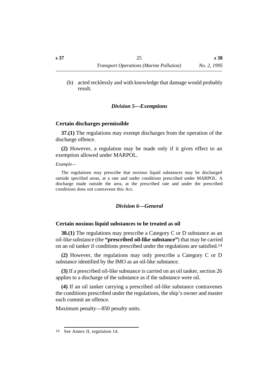(b) acted recklessly and with knowledge that damage would probably result.

#### *†Division 5—Exemptions*

#### **˙Certain discharges permissible**

**37.(1)** The regulations may exempt discharges from the operation of the discharge offence.

**(2)** However, a regulation may be made only if it gives effect to an exemption allowed under MARPOL.

*Example—*

The regulations may prescribe that noxious liquid substances may be discharged outside specified areas, at a rate and under conditions prescribed under MARPOL. A discharge made outside the area, at the prescribed rate and under the prescribed conditions does not contravene this Act.

#### *†Division 6—General*

#### **˙Certain noxious liquid substances to be treated as oil**

**38.(1)** The regulations may prescribe a Category C or D substance as an oil-like substance (the **"prescribed oil-like substance"**) that may be carried on an oil tanker if conditions prescribed under the regulations are satisfied.14

**(2)** However, the regulations may only prescribe a Category C or D substance identified by the IMO as an oil-like substance.

**(3)** If a prescribed oil-like substance is carried on an oil tanker, section 26 applies to a discharge of the substance as if the substance were oil.

**(4)** If an oil tanker carrying a prescribed oil-like substance contravenes the conditions prescribed under the regulations, the ship's owner and master each commit an offence.

Maximum penalty—850 penalty units.

<sup>14</sup> See Annex II, regulation 14.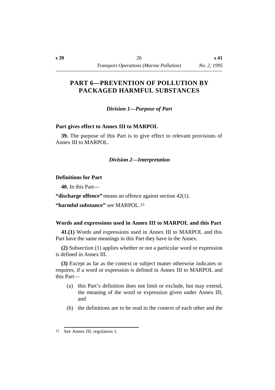## **†PART 6—PREVENTION OF POLLUTION BY PACKAGED HARMFUL SUBSTANCES**

*†Division 1—Purpose of Part*

#### **˙Part gives effect to Annex III to MARPOL**

**39.** The purpose of this Part is to give effect to relevant provisions of Annex III to MARPOL.

#### *†Division 2—Interpretation*

#### **˙Definitions for Part**

**40.** In this Part—

**"discharge offence"** means an offence against section 42(1).

**"harmful substance"** see MARPOL.15

## **˙Words and expressions used in Annex III to MARPOL and this Part**

**41.(1)** Words and expressions used in Annex III to MARPOL and this Part have the same meanings in this Part they have in the Annex.

**(2)** Subsection (1) applies whether or not a particular word or expression is defined in Annex III.

**(3)** Except as far as the context or subject matter otherwise indicates or requires, if a word or expression is defined in Annex III to MARPOL and this Part—

- (a) this Part's definition does not limit or exclude, but may extend, the meaning of the word or expression given under Annex III; and
- (b) the definitions are to be read in the context of each other and the

<sup>15</sup> See Annex III, regulation 1.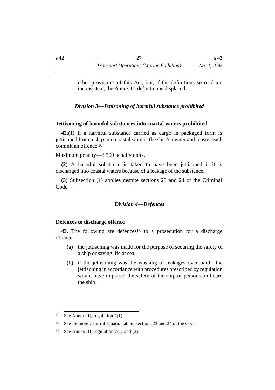other provisions of this Act, but, if the definitions so read are inconsistent, the Annex III definition is displaced.

*†Division 3—Jettisoning of harmful substance prohibited*

## **˙Jettisoning of harmful substances into coastal waters prohibited**

**42.(1)** If a harmful substance carried as cargo in packaged form is jettisoned from a ship into coastal waters, the ship's owner and master each commit an offence.16

Maximum penalty—3 500 penalty units.

**(2)** A harmful substance is taken to have been jettisoned if it is discharged into coastal waters because of a leakage of the substance.

**(3)** Subsection (1) applies despite sections 23 and 24 of the Criminal Code.17

## *†Division 4—Defences*

## **˙Defences to discharge offence**

**43.** The following are defences18 to a prosecution for a discharge offence—

- (a) the jettisoning was made for the purpose of securing the safety of a ship or saving life at sea;
- (b) if the jettisoning was the washing of leakages overboard—the jettisoning in accordance with procedures prescribed by regulation would have impaired the safety of the ship or persons on board the ship.

<sup>16</sup> See Annex III, regulation 7(1).

<sup>17</sup> See footnote 7 for information about sections 23 and 24 of the Code.

<sup>18</sup> See Annex III, regulation 7(1) and (2).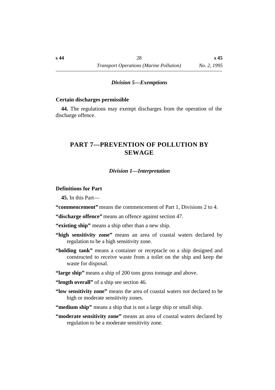#### *†Division 5—Exemptions*

#### **˙Certain discharges permissible**

**44.** The regulations may exempt discharges from the operation of the discharge offence.

## **†PART 7—PREVENTION OF POLLUTION BY SEWAGE**

#### *†Division 1—Interpretation*

#### **˙Definitions for Part**

**45.** In this Part—

**"commencement"** means the commencement of Part 1, Divisions 2 to 4.

**"discharge offence"** means an offence against section 47.

**"existing ship"** means a ship other than a new ship.

- **"high sensitivity zone"** means an area of coastal waters declared by regulation to be a high sensitivity zone.
- **"holding tank"** means a container or receptacle on a ship designed and constructed to receive waste from a toilet on the ship and keep the waste for disposal.
- **"large ship"** means a ship of 200 tons gross tonnage and above.
- **"length overall"** of a ship see section 46.
- **"low sensitivity zone"** means the area of coastal waters not declared to be high or moderate sensitivity zones.

**"medium ship"** means a ship that is not a large ship or small ship.

**"moderate sensitivity zone"** means an area of coastal waters declared by regulation to be a moderate sensitivity zone.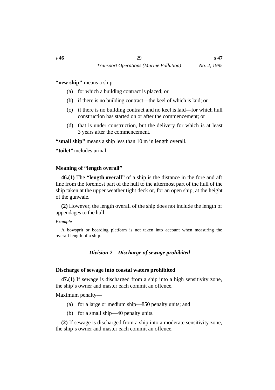**"new ship"** means a ship—

- (a) for which a building contract is placed; or
- (b) if there is no building contract—the keel of which is laid; or
- (c) if there is no building contract and no keel is laid—for which hull construction has started on or after the commencement; or
- (d) that is under construction, but the delivery for which is at least 3 years after the commencement.

**"small ship"** means a ship less than 10 m in length overall.

**"toilet"** includes urinal.

## **˙Meaning of "length overall"**

**46.(1)** The **"length overall"** of a ship is the distance in the fore and aft line from the foremost part of the hull to the aftermost part of the hull of the ship taken at the upper weather tight deck or, for an open ship, at the height of the gunwale.

**(2)** However, the length overall of the ship does not include the length of appendages to the hull.

#### *Example—*

A bowsprit or boarding platform is not taken into account when measuring the overall length of a ship.

## *†Division 2—Discharge of sewage prohibited*

#### **˙Discharge of sewage into coastal waters prohibited**

**47.(1)** If sewage is discharged from a ship into a high sensitivity zone, the ship's owner and master each commit an offence.

Maximum penalty—

- (a) for a large or medium ship—850 penalty units; and
- (b) for a small ship—40 penalty units.

**(2)** If sewage is discharged from a ship into a moderate sensitivity zone, the ship's owner and master each commit an offence.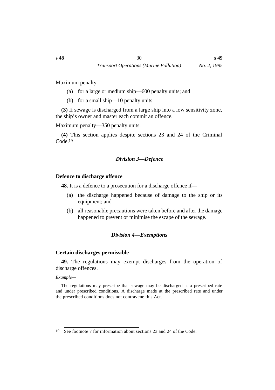Maximum penalty—

- (a) for a large or medium ship—600 penalty units; and
- (b) for a small ship—10 penalty units.

**(3)** If sewage is discharged from a large ship into a low sensitivity zone, the ship's owner and master each commit an offence.

Maximum penalty—350 penalty units.

**(4)** This section applies despite sections 23 and 24 of the Criminal Code.19

## *†Division 3—Defence*

## **˙Defence to discharge offence**

**48.** It is a defence to a prosecution for a discharge offence if—

- (a) the discharge happened because of damage to the ship or its equipment; and
- (b) all reasonable precautions were taken before and after the damage happened to prevent or minimise the escape of the sewage.

## *†Division 4—Exemptions*

## **˙Certain discharges permissible**

**49.** The regulations may exempt discharges from the operation of discharge offences.

*Example—*

The regulations may prescribe that sewage may be discharged at a prescribed rate and under prescribed conditions. A discharge made at the prescribed rate and under the prescribed conditions does not contravene this Act.

<sup>19</sup> See footnote 7 for information about sections 23 and 24 of the Code.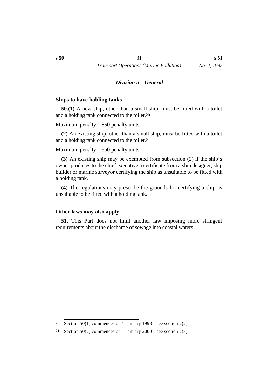#### *†Division 5—General*

#### **˙Ships to have holding tanks**

**50.(1)** A new ship, other than a small ship, must be fitted with a toilet and a holding tank connected to the toilet.20

Maximum penalty—850 penalty units.

**(2)** An existing ship, other than a small ship, must be fitted with a toilet and a holding tank connected to the toilet.21

Maximum penalty—850 penalty units.

**(3)** An existing ship may be exempted from subsection (2) if the ship's owner produces to the chief executive a certificate from a ship designer, ship builder or marine surveyor certifying the ship as unsuitable to be fitted with a holding tank.

**(4)** The regulations may prescribe the grounds for certifying a ship as unsuitable to be fitted with a holding tank.

#### **˙Other laws may also apply**

**51.** This Part does not limit another law imposing more stringent requirements about the discharge of sewage into coastal waters.

<sup>&</sup>lt;sup>20</sup> Section 50(1) commences on 1 January 1998—see section  $2(2)$ .

<sup>21</sup> Section 50(2) commences on 1 January 2000—see section 2(3).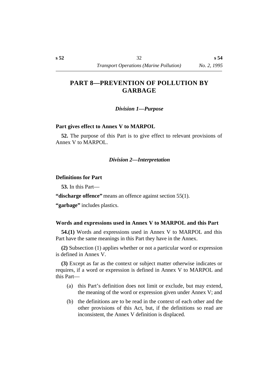## **†PART 8—PREVENTION OF POLLUTION BY GARBAGE**

*†Division 1—Purpose*

#### **˙Part gives effect to Annex V to MARPOL**

**52.** The purpose of this Part is to give effect to relevant provisions of Annex V to MARPOL.

#### *†Division 2—Interpretation*

#### **˙Definitions for Part**

**53.** In this Part—

**"discharge offence"** means an offence against section 55(1).

**"garbage"** includes plastics.

#### **˙Words and expressions used in Annex V to MARPOL and this Part**

**54.(1)** Words and expressions used in Annex V to MARPOL and this Part have the same meanings in this Part they have in the Annex.

**(2)** Subsection (1) applies whether or not a particular word or expression is defined in Annex V.

**(3)** Except as far as the context or subject matter otherwise indicates or requires, if a word or expression is defined in Annex V to MARPOL and this Part—

- (a) this Part's definition does not limit or exclude, but may extend, the meaning of the word or expression given under Annex V; and
- (b) the definitions are to be read in the context of each other and the other provisions of this Act, but, if the definitions so read are inconsistent, the Annex V definition is displaced.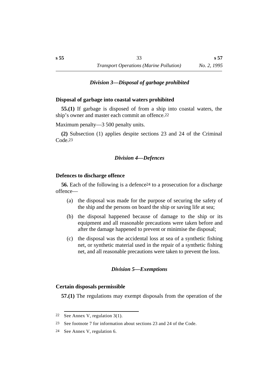#### *†Division 3—Disposal of garbage prohibited*

#### **˙Disposal of garbage into coastal waters prohibited**

**55.(1)** If garbage is disposed of from a ship into coastal waters, the ship's owner and master each commit an offence.22

Maximum penalty—3 500 penalty units.

**(2)** Subsection (1) applies despite sections 23 and 24 of the Criminal Code.23

#### *†Division 4—Defences*

#### **˙Defences to discharge offence**

**56.** Each of the following is a defence24 to a prosecution for a discharge offence—

- (a) the disposal was made for the purpose of securing the safety of the ship and the persons on board the ship or saving life at sea;
- (b) the disposal happened because of damage to the ship or its equipment and all reasonable precautions were taken before and after the damage happened to prevent or minimise the disposal;
- (c) the disposal was the accidental loss at sea of a synthetic fishing net, or synthetic material used in the repair of a synthetic fishing net, and all reasonable precautions were taken to prevent the loss.

#### *†Division 5—Exemptions*

#### **˙Certain disposals permissible**

**57.(1)** The regulations may exempt disposals from the operation of the

<sup>22</sup> See Annex V, regulation 3(1).

<sup>23</sup> See footnote 7 for information about sections 23 and 24 of the Code.

<sup>24</sup> See Annex V, regulation 6.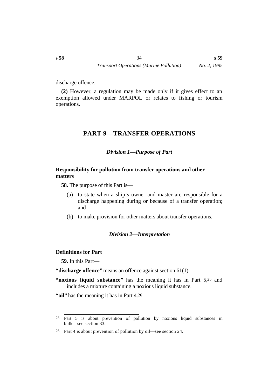discharge offence.

**(2)** However, a regulation may be made only if it gives effect to an exemption allowed under MARPOL or relates to fishing or tourism operations.

## **†PART 9—TRANSFER OPERATIONS**

## *†Division 1—Purpose of Part*

### **˙Responsibility for pollution from transfer operations and other matters**

**58.** The purpose of this Part is—

- (a) to state when a ship's owner and master are responsible for a discharge happening during or because of a transfer operation; and
- (b) to make provision for other matters about transfer operations.

#### *†Division 2—Interpretation*

#### **˙Definitions for Part**

**59.** In this Part—

**"discharge offence"** means an offence against section 61(1).

**"noxious liquid substance"** has the meaning it has in Part 5,25 and includes a mixture containing a noxious liquid substance.

**"oil"** has the meaning it has in Part 4.26

<sup>25</sup> Part 5 is about prevention of pollution by noxious liquid substances in bulk—see section 33.

<sup>26</sup> Part 4 is about prevention of pollution by oil—see section 24.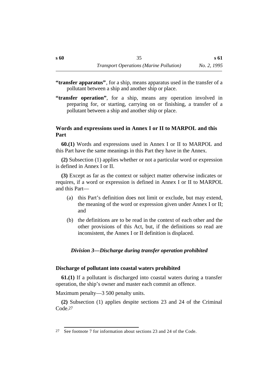- **"transfer apparatus"**, for a ship, means apparatus used in the transfer of a pollutant between a ship and another ship or place.
- **"transfer operation"**, for a ship, means any operation involved in preparing for, or starting, carrying on or finishing, a transfer of a pollutant between a ship and another ship or place.

#### **˙Words and expressions used in Annex I or II to MARPOL and this Part**

**60.(1)** Words and expressions used in Annex I or II to MARPOL and this Part have the same meanings in this Part they have in the Annex.

**(2)** Subsection (1) applies whether or not a particular word or expression is defined in Annex I or II.

**(3)** Except as far as the context or subject matter otherwise indicates or requires, if a word or expression is defined in Annex I or II to MARPOL and this Part—

- (a) this Part's definition does not limit or exclude, but may extend, the meaning of the word or expression given under Annex I or II; and
- (b) the definitions are to be read in the context of each other and the other provisions of this Act, but, if the definitions so read are inconsistent, the Annex I or II definition is displaced.

#### *†Division 3—Discharge during transfer operation prohibited*

#### **˙Discharge of pollutant into coastal waters prohibited**

**61.(1)** If a pollutant is discharged into coastal waters during a transfer operation, the ship's owner and master each commit an offence.

Maximum penalty—3 500 penalty units.

**(2)** Subsection (1) applies despite sections 23 and 24 of the Criminal Code.27

<sup>27</sup> See footnote 7 for information about sections 23 and 24 of the Code.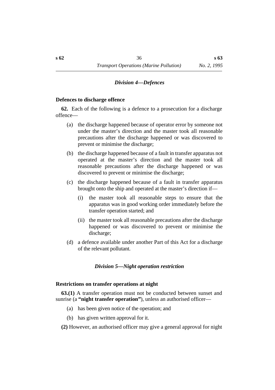#### *†Division 4—Defences*

#### **˙Defences to discharge offence**

**62.** Each of the following is a defence to a prosecution for a discharge offence—

- (a) the discharge happened because of operator error by someone not under the master's direction and the master took all reasonable precautions after the discharge happened or was discovered to prevent or minimise the discharge;
- (b) the discharge happened because of a fault in transfer apparatus not operated at the master's direction and the master took all reasonable precautions after the discharge happened or was discovered to prevent or minimise the discharge;
- (c) the discharge happened because of a fault in transfer apparatus brought onto the ship and operated at the master's direction if—
	- (i) the master took all reasonable steps to ensure that the apparatus was in good working order immediately before the transfer operation started; and
	- (ii) the master took all reasonable precautions after the discharge happened or was discovered to prevent or minimise the discharge;
- (d) a defence available under another Part of this Act for a discharge of the relevant pollutant.

#### *†Division 5—Night operation restriction*

#### **˙Restrictions on transfer operations at night**

**63.(1)** A transfer operation must not be conducted between sunset and sunrise (a **"night transfer operation"**), unless an authorised officer—

- (a) has been given notice of the operation; and
- (b) has given written approval for it.

**(2)** However, an authorised officer may give a general approval for night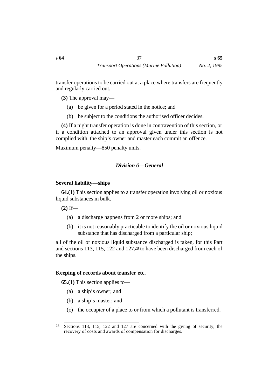transfer operations to be carried out at a place where transfers are frequently and regularly carried out.

**(3)** The approval may—

- (a) be given for a period stated in the notice; and
- (b) be subject to the conditions the authorised officer decides.

**(4)** If a night transfer operation is done in contravention of this section, or if a condition attached to an approval given under this section is not complied with, the ship's owner and master each commit an offence.

Maximum penalty—850 penalty units.

# *†Division 6—General*

# **˙Several liability—ships**

**64.(1)** This section applies to a transfer operation involving oil or noxious liquid substances in bulk.

**(2)** If—

- (a) a discharge happens from 2 or more ships; and
- (b) it is not reasonably practicable to identify the oil or noxious liquid substance that has discharged from a particular ship;

all of the oil or noxious liquid substance discharged is taken, for this Part and sections 113, 115, 122 and 127,28 to have been discharged from each of the ships.

# **˙Keeping of records about transfer etc.**

**65.(1)** This section applies to—

- (a) a ship's owner; and
- (b) a ship's master; and
- (c) the occupier of a place to or from which a pollutant is transferred.

<sup>28</sup> Sections 113, 115, 122 and 127 are concerned with the giving of security, the recovery of costs and awards of compensation for discharges.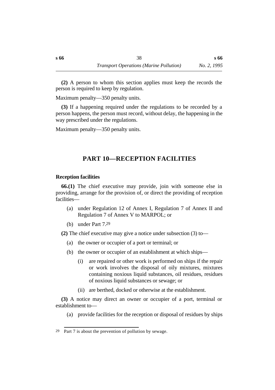**(2)** A person to whom this section applies must keep the records the person is required to keep by regulation.

Maximum penalty—350 penalty units.

**(3)** If a happening required under the regulations to be recorded by a person happens, the person must record, without delay, the happening in the way prescribed under the regulations.

Maximum penalty—350 penalty units.

# **†PART 10—RECEPTION FACILITIES**

# **˙Reception facilities**

**66.(1)** The chief executive may provide, join with someone else in providing, arrange for the provision of, or direct the providing of reception facilities—

- (a) under Regulation 12 of Annex I, Regulation 7 of Annex II and Regulation 7 of Annex V to MARPOL; or
- (b) under Part 7.29

**(2)** The chief executive may give a notice under subsection (3) to—

- (a) the owner or occupier of a port or terminal; or
- (b) the owner or occupier of an establishment at which ships—
	- (i) are repaired or other work is performed on ships if the repair or work involves the disposal of oily mixtures, mixtures containing noxious liquid substances, oil residues, residues of noxious liquid substances or sewage; or
	- (ii) are berthed, docked or otherwise at the establishment.

**(3)** A notice may direct an owner or occupier of a port, terminal or establishment to—

(a) provide facilities for the reception or disposal of residues by ships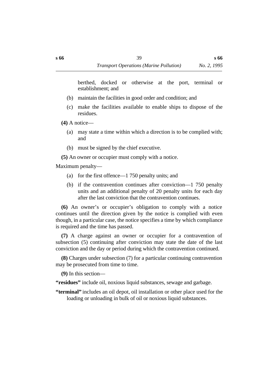berthed, docked or otherwise at the port, terminal or establishment; and

- (b) maintain the facilities in good order and condition; and
- (c) make the facilities available to enable ships to dispose of the residues.
- **(4)** A notice—
	- (a) may state a time within which a direction is to be complied with; and
	- (b) must be signed by the chief executive.
- **(5)** An owner or occupier must comply with a notice.

Maximum penalty—

- (a) for the first offence—1 750 penalty units; and
- (b) if the contravention continues after conviction—1 750 penalty units and an additional penalty of 20 penalty units for each day after the last conviction that the contravention continues.

**(6)** An owner's or occupier's obligation to comply with a notice continues until the direction given by the notice is complied with even though, in a particular case, the notice specifies a time by which compliance is required and the time has passed.

**(7)** A charge against an owner or occupier for a contravention of subsection (5) continuing after conviction may state the date of the last conviction and the day or period during which the contravention continued.

**(8)** Charges under subsection (7) for a particular continuing contravention may be prosecuted from time to time.

**(9)** In this section—

**"residues"** include oil, noxious liquid substances, sewage and garbage.

**"terminal"** includes an oil depot, oil installation or other place used for the loading or unloading in bulk of oil or noxious liquid substances.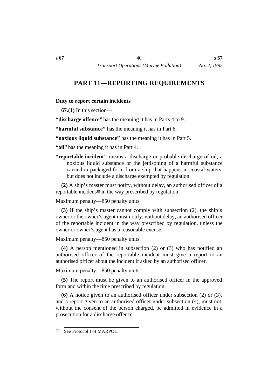# **†PART 11—REPORTING REQUIREMENTS**

### **˙Duty to report certain incidents**

**67.(1)** In this section—

**"discharge offence"** has the meaning it has in Parts 4 to 9.

**"harmful substance"** has the meaning it has in Part 6.

**"noxious liquid substance"** has the meaning it has in Part 5.

**"oil"** has the meaning it has in Part 4.

**"reportable incident"** means a discharge or probable discharge of oil, a noxious liquid substance or the jettisoning of a harmful substance carried in packaged form from a ship that happens in coastal waters, but does not include a discharge exempted by regulation.

**(2)** A ship's master must notify, without delay, an authorised officer of a reportable incident30 in the way prescribed by regulation.

Maximum penalty—850 penalty units.

**(3)** If the ship's master cannot comply with subsection (2), the ship's owner or the owner's agent must notify, without delay, an authorised officer of the reportable incident in the way prescribed by regulation, unless the owner or owner's agent has a reasonable excuse.

Maximum penalty—850 penalty units.

**(4)** A person mentioned in subsection (2) or (3) who has notified an authorised officer of the reportable incident must give a report to an authorised officer about the incident if asked by an authorised officer.

Maximum penalty—850 penalty units.

**(5)** The report must be given to an authorised officer in the approved form and within the time prescribed by regulation.

**(6)** A notice given to an authorised officer under subsection (2) or (3), and a report given to an authorised officer under subsection (4), must not, without the consent of the person charged, be admitted in evidence in a prosecution for a discharge offence.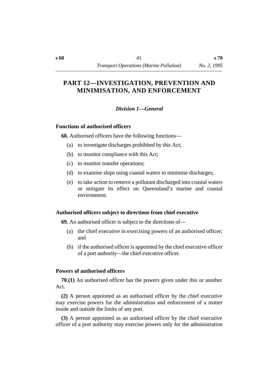# **†PART 12—INVESTIGATION, PREVENTION AND MINIMISATION, AND ENFORCEMENT**

### *†Division 1—General*

#### **˙Functions of authorised officers**

**68.** Authorised officers have the following functions—

- (a) to investigate discharges prohibited by this Act;
- (b) to monitor compliance with this Act;
- (c) to monitor transfer operations;
- (d) to examine ships using coastal waters to minimise discharges;
- (e) to take action to remove a pollutant discharged into coastal waters or mitigate its effect on Queensland's marine and coastal environment.

### **˙Authorised officers subject to directions from chief executive**

**69.** An authorised officer is subject to the directions of—

- (a) the chief executive in exercising powers of an authorised officer; and
- (b) if the authorised officer is appointed by the chief executive officer of a port authority—the chief executive officer.

### **˙Powers of authorised officers**

**70.(1)** An authorised officer has the powers given under this or another Act.

**(2)** A person appointed as an authorised officer by the chief executive may exercise powers for the administration and enforcement of a matter inside and outside the limits of any port.

**(3)** A person appointed as an authorised officer by the chief executive officer of a port authority may exercise powers only for the administration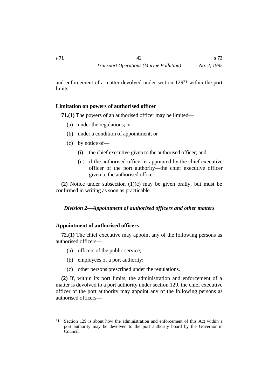and enforcement of a matter devolved under section 12931 within the port limits.

### **˙Limitation on powers of authorised officer**

**71.(1)** The powers of an authorised officer may be limited—

- (a) under the regulations; or
- (b) under a condition of appointment; or
- (c) by notice of—
	- (i) the chief executive given to the authorised officer; and
	- (ii) if the authorised officer is appointed by the chief executive officer of the port authority—the chief executive officer given to the authorised officer.

**(2)** Notice under subsection (1)(c) may be given orally, but must be confirmed in writing as soon as practicable.

# *†Division 2—Appointment of authorised officers and other matters*

### **˙Appointment of authorised officers**

**72.(1)** The chief executive may appoint any of the following persons as authorised officers—

- (a) officers of the public service;
- (b) employees of a port authority;
- (c) other persons prescribed under the regulations.

**(2)** If, within its port limits, the administration and enforcement of a matter is devolved to a port authority under section 129, the chief executive officer of the port authority may appoint any of the following persons as authorised officers—

<sup>31</sup> Section 129 is about how the administration and enforcement of this Act within a port authority may be devolved to the port authority board by the Governor in Council.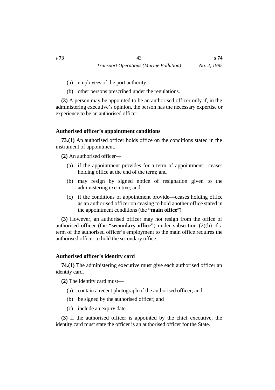- (a) employees of the port authority;
- (b) other persons prescribed under the regulations.

**(3)** A person may be appointed to be an authorised officer only if, in the administering executive's opinion, the person has the necessary expertise or experience to be an authorised officer.

### **˙Authorised officer's appointment conditions**

**73.(1)** An authorised officer holds office on the conditions stated in the instrument of appointment.

**(2)** An authorised officer—

- (a) if the appointment provides for a term of appointment—ceases holding office at the end of the term; and
- (b) may resign by signed notice of resignation given to the administering executive; and
- (c) if the conditions of appointment provide—ceases holding office as an authorised officer on ceasing to hold another office stated in the appointment conditions (the **"main office"**).

**(3)** However, an authorised officer may not resign from the office of authorised officer (the **"secondary office"**) under subsection (2)(b) if a term of the authorised officer's employment to the main office requires the authorised officer to hold the secondary office.

# **˙Authorised officer's identity card**

**74.(1)** The administering executive must give each authorised officer an identity card.

**(2)** The identity card must—

- (a) contain a recent photograph of the authorised officer; and
- (b) be signed by the authorised officer; and
- (c) include an expiry date.

**(3)** If the authorised officer is appointed by the chief executive, the identity card must state the officer is an authorised officer for the State.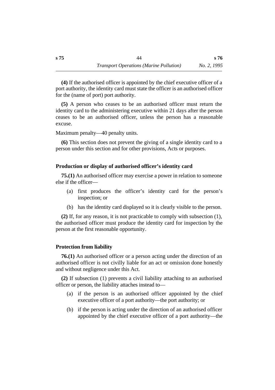**(4)** If the authorised officer is appointed by the chief executive officer of a port authority, the identity card must state the officer is an authorised officer for the (name of port) port authority.

**(5)** A person who ceases to be an authorised officer must return the identity card to the administering executive within 21 days after the person ceases to be an authorised officer, unless the person has a reasonable excuse.

Maximum penalty—40 penalty units.

**(6)** This section does not prevent the giving of a single identity card to a person under this section and for other provisions, Acts or purposes.

#### **˙Production or display of authorised officer's identity card**

**75.(1)** An authorised officer may exercise a power in relation to someone else if the officer—

- (a) first produces the officer's identity card for the person's inspection; or
- (b) has the identity card displayed so it is clearly visible to the person.

**(2)** If, for any reason, it is not practicable to comply with subsection (1), the authorised officer must produce the identity card for inspection by the person at the first reasonable opportunity.

#### **˙Protection from liability**

**76.(1)** An authorised officer or a person acting under the direction of an authorised officer is not civilly liable for an act or omission done honestly and without negligence under this Act.

**(2)** If subsection (1) prevents a civil liability attaching to an authorised officer or person, the liability attaches instead to—

- (a) if the person is an authorised officer appointed by the chief executive officer of a port authority—the port authority; or
- (b) if the person is acting under the direction of an authorised officer appointed by the chief executive officer of a port authority—the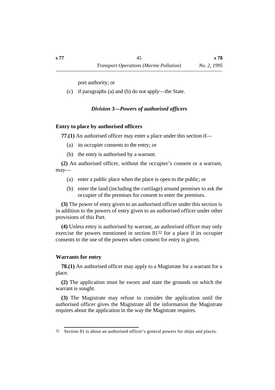port authority; or

(c) if paragraphs (a) and (b) do not apply—the State.

*†Division 3—Powers of authorised officers*

### **˙Entry to place by authorised officers**

**77.(1)** An authorised officer may enter a place under this section if—

- (a) its occupier consents to the entry; or
- (b) the entry is authorised by a warrant.

**(2)** An authorised officer, without the occupier's consent or a warrant, may—

- (a) enter a public place when the place is open to the public; or
- (b) enter the land (including the curtilage) around premises to ask the occupier of the premises for consent to enter the premises.

**(3)** The power of entry given to an authorised officer under this section is in addition to the powers of entry given to an authorised officer under other provisions of this Part.

**(4)** Unless entry is authorised by warrant, an authorised officer may only exercise the powers mentioned in section 8132 for a place if its occupier consents to the use of the powers when consent for entry is given.

# **˙Warrants for entry**

**78.(1)** An authorised officer may apply to a Magistrate for a warrant for a place.

**(2)** The application must be sworn and state the grounds on which the warrant is sought.

**(3)** The Magistrate may refuse to consider the application until the authorised officer gives the Magistrate all the information the Magistrate requires about the application in the way the Magistrate requires.

<sup>32</sup> Section 81 is about an authorised officer's general powers for ships and places.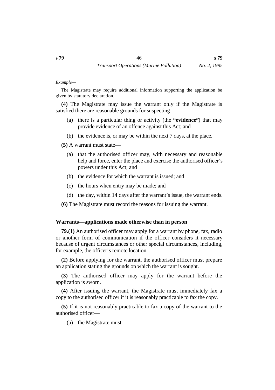*Example—*

The Magistrate may require additional information supporting the application be given by statutory declaration.

**(4)** The Magistrate may issue the warrant only if the Magistrate is satisfied there are reasonable grounds for suspecting—

- (a) there is a particular thing or activity (the **"evidence"**) that may provide evidence of an offence against this Act; and
- (b) the evidence is, or may be within the next 7 days, at the place.

**(5)** A warrant must state—

- (a) that the authorised officer may, with necessary and reasonable help and force, enter the place and exercise the authorised officer's powers under this Act; and
- (b) the evidence for which the warrant is issued; and
- (c) the hours when entry may be made; and
- (d) the day, within 14 days after the warrant's issue, the warrant ends.

**(6)** The Magistrate must record the reasons for issuing the warrant.

#### **˙Warrants—applications made otherwise than in person**

**79.(1)** An authorised officer may apply for a warrant by phone, fax, radio or another form of communication if the officer considers it necessary because of urgent circumstances or other special circumstances, including, for example, the officer's remote location.

**(2)** Before applying for the warrant, the authorised officer must prepare an application stating the grounds on which the warrant is sought.

**(3)** The authorised officer may apply for the warrant before the application is sworn.

**(4)** After issuing the warrant, the Magistrate must immediately fax a copy to the authorised officer if it is reasonably practicable to fax the copy.

**(5)** If it is not reasonably practicable to fax a copy of the warrant to the authorised officer—

(a) the Magistrate must—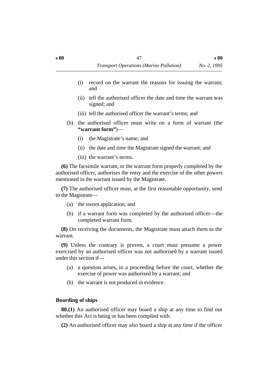- (i) record on the warrant the reasons for issuing the warrant; and
- (ii) tell the authorised officer the date and time the warrant was signed; and
- (iii) tell the authorised officer the warrant's terms; and
- (b) the authorised officer must write on a form of warrant (the **"warrant form"**)—
	- (i) the Magistrate's name; and
	- (ii) the date and time the Magistrate signed the warrant; and
	- (iii) the warrant's terms.

**(6)** The facsimile warrant, or the warrant form properly completed by the authorised officer, authorises the entry and the exercise of the other powers mentioned in the warrant issued by the Magistrate.

**(7)** The authorised officer must, at the first reasonable opportunity, send to the Magistrate—

- (a) the sworn application; and
- (b) if a warrant form was completed by the authorised officer—the completed warrant form.

**(8)** On receiving the documents, the Magistrate must attach them to the warrant.

**(9)** Unless the contrary is proven, a court must presume a power exercised by an authorised officer was not authorised by a warrant issued under this section if—

- (a) a question arises, in a proceeding before the court, whether the exercise of power was authorised by a warrant; and
- (b) the warrant is not produced in evidence.

# **˙Boarding of ships**

**80.(1)** An authorised officer may board a ship at any time to find out whether this Act is being or has been complied with.

**(2)** An authorised officer may also board a ship at any time if the officer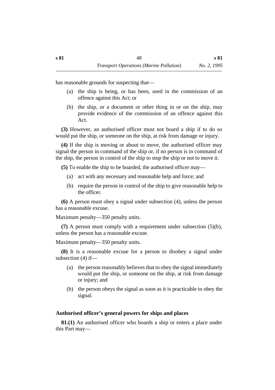has reasonable grounds for suspecting that—

- (a) the ship is being, or has been, used in the commission of an offence against this Act; or
- (b) the ship, or a document or other thing in or on the ship, may provide evidence of the commission of an offence against this Act.

**(3)** However, an authorised officer must not board a ship if to do so would put the ship, or someone on the ship, at risk from damage or injury.

**(4)** If the ship is moving or about to move, the authorised officer may signal the person in command of the ship or, if no person is in command of the ship, the person in control of the ship to stop the ship or not to move it.

**(5)** To enable the ship to be boarded, the authorised officer may—

- (a) act with any necessary and reasonable help and force; and
- (b) require the person in control of the ship to give reasonable help to the officer.

**(6)** A person must obey a signal under subsection (4), unless the person has a reasonable excuse.

Maximum penalty—350 penalty units.

**(7)** A person must comply with a requirement under subsection (5)(b), unless the person has a reasonable excuse.

Maximum penalty—350 penalty units.

**(8)** It is a reasonable excuse for a person to disobey a signal under subsection (4) if—

- (a) the person reasonably believes that to obey the signal immediately would put the ship, or someone on the ship, at risk from damage or injury; and
- (b) the person obeys the signal as soon as it is practicable to obey the signal.

# **˙Authorised officer's general powers for ships and places**

**81.(1)** An authorised officer who boards a ship or enters a place under this Part may—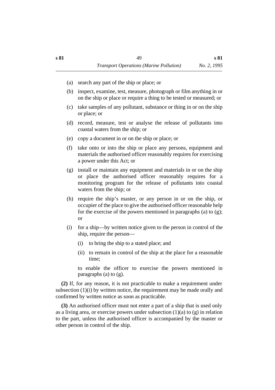- (a) search any part of the ship or place; or
- (b) inspect, examine, test, measure, photograph or film anything in or on the ship or place or require a thing to be tested or measured; or
- (c) take samples of any pollutant, substance or thing in or on the ship or place; or
- (d) record, measure, test or analyse the release of pollutants into coastal waters from the ship; or
- (e) copy a document in or on the ship or place; or
- (f) take onto or into the ship or place any persons, equipment and materials the authorised officer reasonably requires for exercising a power under this Act; or
- (g) install or maintain any equipment and materials in or on the ship or place the authorised officer reasonably requires for a monitoring program for the release of pollutants into coastal waters from the ship; or
- (h) require the ship's master, or any person in or on the ship, or occupier of the place to give the authorised officer reasonable help for the exercise of the powers mentioned in paragraphs (a) to (g); or
- (i) for a ship—by written notice given to the person in control of the ship, require the person—
	- (i) to bring the ship to a stated place; and
	- (ii) to remain in control of the ship at the place for a reasonable time;

to enable the officer to exercise the powers mentioned in paragraphs (a) to (g).

**(2)** If, for any reason, it is not practicable to make a requirement under subsection (1)(i) by written notice, the requirement may be made orally and confirmed by written notice as soon as practicable.

**(3)** An authorised officer must not enter a part of a ship that is used only as a living area, or exercise powers under subsection  $(1)(a)$  to  $(g)$  in relation to the part, unless the authorised officer is accompanied by the master or other person in control of the ship.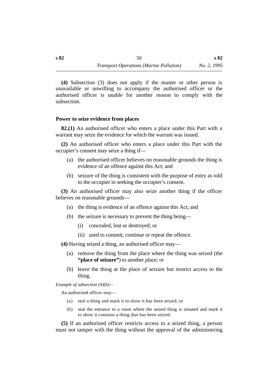**(4)** Subsection (3) does not apply if the master or other person is unavailable or unwilling to accompany the authorised officer or the authorised officer is unable for another reason to comply with the subsection.

#### **˙Power to seize evidence from places**

**82.(1)** An authorised officer who enters a place under this Part with a warrant may seize the evidence for which the warrant was issued.

**(2)** An authorised officer who enters a place under this Part with the occupier's consent may seize a thing if—

- (a) the authorised officer believes on reasonable grounds the thing is evidence of an offence against this Act; and
- (b) seizure of the thing is consistent with the purpose of entry as told to the occupier in seeking the occupier's consent.

**(3)** An authorised officer may also seize another thing if the officer believes on reasonable grounds—

- (a) the thing is evidence of an offence against this Act; and
- (b) the seizure is necessary to prevent the thing being—
	- (i) concealed, lost or destroyed; or
	- (ii) used to commit, continue or repeat the offence.

**(4)** Having seized a thing, an authorised officer may—

- (a) remove the thing from the place where the thing was seized (the **"place of seizure"**) to another place; or
- (b) leave the thing at the place of seizure but restrict access to the thing.

*Example of subsection (4)(b)—*

An authorised officer may—

- (a) seal a thing and mark it to show it has been seized; or
- (b) seal the entrance to a room where the seized thing is situated and mark it to show it contains a thing that has been seized.

**(5)** If an authorised officer restricts access to a seized thing, a person must not tamper with the thing without the approval of the administering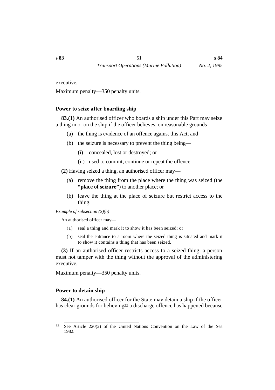executive.

Maximum penalty—350 penalty units.

### **˙Power to seize after boarding ship**

**83.(1)** An authorised officer who boards a ship under this Part may seize a thing in or on the ship if the officer believes, on reasonable grounds—

- (a) the thing is evidence of an offence against this Act; and
- (b) the seizure is necessary to prevent the thing being—
	- (i) concealed, lost or destroyed; or
	- (ii) used to commit, continue or repeat the offence.

**(2)** Having seized a thing, an authorised officer may—

- (a) remove the thing from the place where the thing was seized (the "place of seizure") to another place; or
- (b) leave the thing at the place of seizure but restrict access to the thing.

*Example of subsection (2)(b)—*

An authorised officer may—

- (a) seal a thing and mark it to show it has been seized; or
- (b) seal the entrance to a room where the seized thing is situated and mark it to show it contains a thing that has been seized.

**(3)** If an authorised officer restricts access to a seized thing, a person must not tamper with the thing without the approval of the administering executive.

Maximum penalty—350 penalty units.

# **˙Power to detain ship**

**84.(1)** An authorised officer for the State may detain a ship if the officer has clear grounds for believing33 a discharge offence has happened because

<sup>33</sup> See Article 220(2) of the United Nations Convention on the Law of the Sea 1982.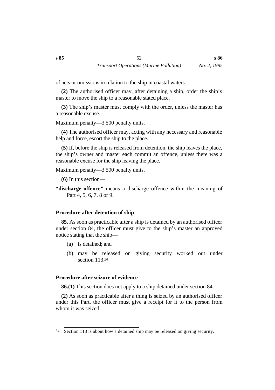of acts or omissions in relation to the ship in coastal waters.

**(2)** The authorised officer may, after detaining a ship, order the ship's master to move the ship to a reasonable stated place.

**(3)** The ship's master must comply with the order, unless the master has a reasonable excuse.

Maximum penalty—3 500 penalty units.

**(4)** The authorised officer may, acting with any necessary and reasonable help and force, escort the ship to the place.

**(5)** If, before the ship is released from detention, the ship leaves the place, the ship's owner and master each commit an offence, unless there was a reasonable excuse for the ship leaving the place.

Maximum penalty—3 500 penalty units.

**(6)** In this section—

**"discharge offence"** means a discharge offence within the meaning of Part 4, 5, 6, 7, 8 or 9.

# **˙Procedure after detention of ship**

**85.** As soon as practicable after a ship is detained by an authorised officer under section 84, the officer must give to the ship's master an approved notice stating that the ship—

- (a) is detained; and
- (b) may be released on giving security worked out under section 113.34

# **˙Procedure after seizure of evidence**

**86.(1)** This section does not apply to a ship detained under section 84.

**(2)** As soon as practicable after a thing is seized by an authorised officer under this Part, the officer must give a receipt for it to the person from whom it was seized.

<sup>34</sup> Section 113 is about how a detained ship may be released on giving security.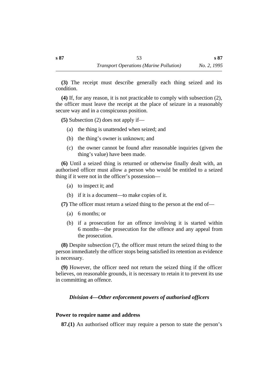**(3)** The receipt must describe generally each thing seized and its condition.

**(4)** If, for any reason, it is not practicable to comply with subsection (2), the officer must leave the receipt at the place of seizure in a reasonably secure way and in a conspicuous position.

**(5)** Subsection (2) does not apply if—

- (a) the thing is unattended when seized; and
- (b) the thing's owner is unknown; and
- (c) the owner cannot be found after reasonable inquiries (given the thing's value) have been made.

**(6)** Until a seized thing is returned or otherwise finally dealt with, an authorised officer must allow a person who would be entitled to a seized thing if it were not in the officer's possession—

- (a) to inspect it; and
- (b) if it is a document—to make copies of it.

**(7)** The officer must return a seized thing to the person at the end of—

- (a) 6 months; or
- (b) if a prosecution for an offence involving it is started within 6 months—the prosecution for the offence and any appeal from the prosecution.

**(8)** Despite subsection (7), the officer must return the seized thing to the person immediately the officer stops being satisfied its retention as evidence is necessary.

**(9)** However, the officer need not return the seized thing if the officer believes, on reasonable grounds, it is necessary to retain it to prevent its use in committing an offence.

# *†Division 4—Other enforcement powers of authorised officers*

### **˙Power to require name and address**

**87.(1)** An authorised officer may require a person to state the person's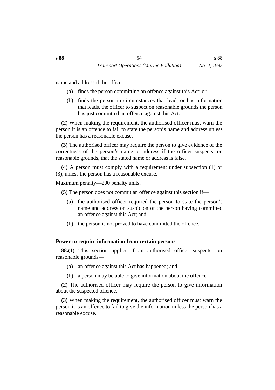name and address if the officer—

- (a) finds the person committing an offence against this Act; or
- (b) finds the person in circumstances that lead, or has information that leads, the officer to suspect on reasonable grounds the person has just committed an offence against this Act.

**(2)** When making the requirement, the authorised officer must warn the person it is an offence to fail to state the person's name and address unless the person has a reasonable excuse.

**(3)** The authorised officer may require the person to give evidence of the correctness of the person's name or address if the officer suspects, on reasonable grounds, that the stated name or address is false.

**(4)** A person must comply with a requirement under subsection (1) or (3), unless the person has a reasonable excuse.

Maximum penalty—200 penalty units.

**(5)** The person does not commit an offence against this section if—

- (a) the authorised officer required the person to state the person's name and address on suspicion of the person having committed an offence against this Act; and
- (b) the person is not proved to have committed the offence.

# **˙Power to require information from certain persons**

**88.(1)** This section applies if an authorised officer suspects, on reasonable grounds—

- (a) an offence against this Act has happened; and
- (b) a person may be able to give information about the offence.

**(2)** The authorised officer may require the person to give information about the suspected offence.

**(3)** When making the requirement, the authorised officer must warn the person it is an offence to fail to give the information unless the person has a reasonable excuse.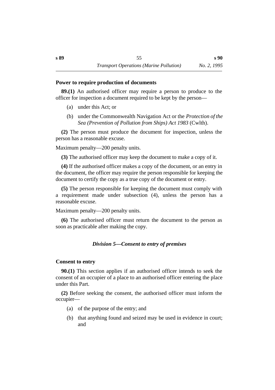#### **˙Power to require production of documents**

**89.(1)** An authorised officer may require a person to produce to the officer for inspection a document required to be kept by the person—

- (a) under this Act; or
- (b) under the Commonwealth Navigation Act or the *Protection of the Sea (Prevention of Pollution from Ships) Act 1983* (Cwlth).

**(2)** The person must produce the document for inspection, unless the person has a reasonable excuse.

Maximum penalty—200 penalty units.

**(3)** The authorised officer may keep the document to make a copy of it.

**(4)** If the authorised officer makes a copy of the document, or an entry in the document, the officer may require the person responsible for keeping the document to certify the copy as a true copy of the document or entry.

**(5)** The person responsible for keeping the document must comply with a requirement made under subsection (4), unless the person has a reasonable excuse.

Maximum penalty—200 penalty units.

**(6)** The authorised officer must return the document to the person as soon as practicable after making the copy.

# *†Division 5—Consent to entry of premises*

# **˙Consent to entry**

**90.(1)** This section applies if an authorised officer intends to seek the consent of an occupier of a place to an authorised officer entering the place under this Part.

**(2)** Before seeking the consent, the authorised officer must inform the occupier—

- (a) of the purpose of the entry; and
- (b) that anything found and seized may be used in evidence in court; and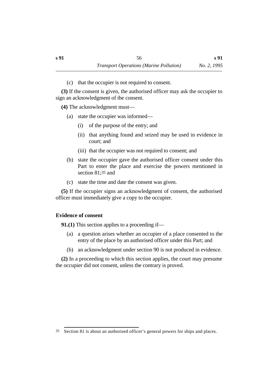(c) that the occupier is not required to consent.

**(3)** If the consent is given, the authorised officer may ask the occupier to sign an acknowledgment of the consent.

**(4)** The acknowledgment must—

- (a) state the occupier was informed—
	- (i) of the purpose of the entry; and
	- (ii) that anything found and seized may be used in evidence in court; and
	- (iii) that the occupier was not required to consent; and
- (b) state the occupier gave the authorised officer consent under this Part to enter the place and exercise the powers mentioned in section 81;<sup>35</sup> and
- (c) state the time and date the consent was given.

**(5)** If the occupier signs an acknowledgment of consent, the authorised officer must immediately give a copy to the occupier.

# **˙Evidence of consent**

**91.(1)** This section applies to a proceeding if—

- (a) a question arises whether an occupier of a place consented to the entry of the place by an authorised officer under this Part; and
- (b) an acknowledgment under section 90 is not produced in evidence.

**(2)** In a proceeding to which this section applies, the court may presume the occupier did not consent, unless the contrary is proved.

<sup>35</sup> Section 81 is about an authorised officer's general powers for ships and places.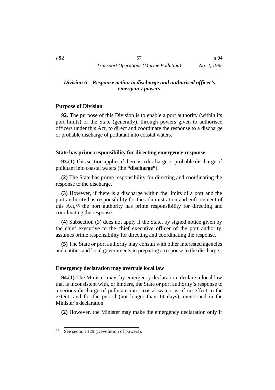### *†Division 6—Response action to discharge and authorised officer's emergency powers*

### **˙Purpose of Division**

**92.** The purpose of this Division is to enable a port authority (within its port limits) or the State (generally), through powers given to authorised officers under this Act, to direct and coordinate the response to a discharge or probable discharge of pollutant into coastal waters.

### **˙State has prime responsibility for directing emergency response**

**93.(1)** This section applies if there is a discharge or probable discharge of pollutant into coastal waters (the **"discharge"**).

**(2)** The State has prime responsibility for directing and coordinating the response to the discharge.

**(3)** However, if there is a discharge within the limits of a port and the port authority has responsibility for the administration and enforcement of this Act,36 the port authority has prime responsibility for directing and coordinating the response.

**(4)** Subsection (3) does not apply if the State, by signed notice given by the chief executive to the chief executive officer of the port authority, assumes prime responsibility for directing and coordinating the response.

**(5)** The State or port authority may consult with other interested agencies and entities and local governments in preparing a response to the discharge.

### **˙Emergency declaration may overrule local law**

**94.(1)** The Minister may, by emergency declaration, declare a local law that is inconsistent with, or hinders, the State or port authority's response to a serious discharge of pollutant into coastal waters is of no effect to the extent, and for the period (not longer than 14 days), mentioned in the Minister's declaration.

**(2)** However, the Minister may make the emergency declaration only if

<sup>36</sup> See section 129 (Devolution of powers).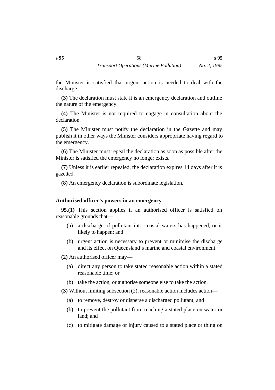**s 95**

the Minister is satisfied that urgent action is needed to deal with the discharge.

**(3)** The declaration must state it is an emergency declaration and outline the nature of the emergency.

**(4)** The Minister is not required to engage in consultation about the declaration.

**(5)** The Minister must notify the declaration in the Gazette and may publish it in other ways the Minister considers appropriate having regard to the emergency.

**(6)** The Minister must repeal the declaration as soon as possible after the Minister is satisfied the emergency no longer exists.

**(7)** Unless it is earlier repealed, the declaration expires 14 days after it is gazetted.

**(8)** An emergency declaration is subordinate legislation.

#### **˙Authorised officer's powers in an emergency**

**95.(1)** This section applies if an authorised officer is satisfied on reasonable grounds that—

- (a) a discharge of pollutant into coastal waters has happened, or is likely to happen; and
- (b) urgent action is necessary to prevent or minimise the discharge and its effect on Queensland's marine and coastal environment.

**(2)** An authorised officer may—

- (a) direct any person to take stated reasonable action within a stated reasonable time; or
- (b) take the action, or authorise someone else to take the action.

**(3)** Without limiting subsection (2), reasonable action includes action—

- (a) to remove, destroy or disperse a discharged pollutant; and
- (b) to prevent the pollutant from reaching a stated place on water or land; and
- (c) to mitigate damage or injury caused to a stated place or thing on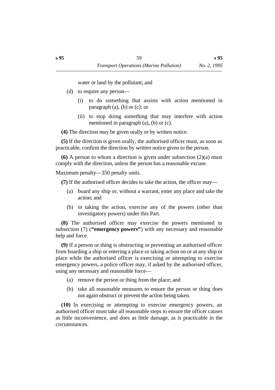water or land by the pollutant; and

- (d) to require any person—
	- (i) to do something that assists with action mentioned in paragraph (a), (b) or (c); or
	- (ii) to stop doing something that may interfere with action mentioned in paragraph (a), (b) or (c).

**(4)** The direction may be given orally or by written notice.

**(5)** If the direction is given orally, the authorised officer must, as soon as practicable, confirm the direction by written notice given to the person.

**(6)** A person to whom a direction is given under subsection (2)(a) must comply with the direction, unless the person has a reasonable excuse.

Maximum penalty—350 penalty units.

**(7)** If the authorised officer decides to take the action, the officer may—

- (a) board any ship or, without a warrant, enter any place and take the action; and
- (b) in taking the action, exercise any of the powers (other than investigatory powers) under this Part.

**(8)** The authorised officer may exercise the powers mentioned in subsection (7) (**"emergency powers"**) with any necessary and reasonable help and force.

**(9)** If a person or thing is obstructing or preventing an authorised officer from boarding a ship or entering a place or taking action on or at any ship or place while the authorised officer is exercising or attempting to exercise emergency powers, a police officer may, if asked by the authorised officer, using any necessary and reasonable force—

- (a) remove the person or thing from the place; and
- (b) take all reasonable measures to ensure the person or thing does not again obstruct or prevent the action being taken.

**(10)** In exercising or attempting to exercise emergency powers, an authorised officer must take all reasonable steps to ensure the officer causes as little inconvenience, and does as little damage, as is practicable in the circumstances.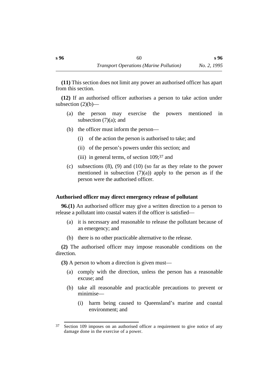**(11)** This section does not limit any power an authorised officer has apart from this section.

**(12)** If an authorised officer authorises a person to take action under subsection  $(2)(b)$ —

- (a) the person may exercise the powers mentioned in subsection  $(7)(a)$ ; and
- (b) the officer must inform the person—
	- (i) of the action the person is authorised to take; and
	- (ii) of the person's powers under this section; and
	- (iii) in general terms, of section 109;37 and
- (c) subsections (8), (9) and (10) (so far as they relate to the power mentioned in subsection  $(7)(a)$  apply to the person as if the person were the authorised officer.

#### **˙Authorised officer may direct emergency release of pollutant**

**96.(1)** An authorised officer may give a written direction to a person to release a pollutant into coastal waters if the officer is satisfied—

- (a) it is necessary and reasonable to release the pollutant because of an emergency; and
- (b) there is no other practicable alternative to the release.

**(2)** The authorised officer may impose reasonable conditions on the direction.

**(3)** A person to whom a direction is given must—

- (a) comply with the direction, unless the person has a reasonable excuse; and
- (b) take all reasonable and practicable precautions to prevent or minimise—
	- (i) harm being caused to Queensland's marine and coastal environment; and

<sup>37</sup> Section 109 imposes on an authorised officer a requirement to give notice of any damage done in the exercise of a power.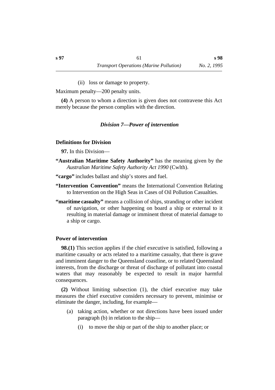(ii) loss or damage to property.

Maximum penalty—200 penalty units.

**(4)** A person to whom a direction is given does not contravene this Act merely because the person complies with the direction.

#### *†Division 7—Power of intervention*

#### **˙Definitions for Division**

**97.** In this Division—

**"Australian Maritime Safety Authority"** has the meaning given by the *Australian Maritime Safety Authority Act 1990* (Cwlth).

**"cargo"** includes ballast and ship's stores and fuel.

- **"Intervention Convention"** means the International Convention Relating to Intervention on the High Seas in Cases of Oil Pollution Casualties.
- **"maritime casualty"** means a collision of ships, stranding or other incident of navigation, or other happening on board a ship or external to it resulting in material damage or imminent threat of material damage to a ship or cargo.

#### **˙Power of intervention**

**98.(1)** This section applies if the chief executive is satisfied, following a maritime casualty or acts related to a maritime casualty, that there is grave and imminent danger to the Queensland coastline, or to related Queensland interests, from the discharge or threat of discharge of pollutant into coastal waters that may reasonably be expected to result in major harmful consequences.

**(2)** Without limiting subsection (1), the chief executive may take measures the chief executive considers necessary to prevent, minimise or eliminate the danger, including, for example—

- (a) taking action, whether or not directions have been issued under paragraph (b) in relation to the ship—
	- (i) to move the ship or part of the ship to another place; or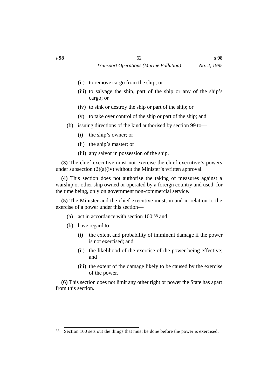- (ii) to remove cargo from the ship; or
- (iii) to salvage the ship, part of the ship or any of the ship's cargo; or
- (iv) to sink or destroy the ship or part of the ship; or
- (v) to take over control of the ship or part of the ship; and
- (b) issuing directions of the kind authorised by section 99 to—
	- (i) the ship's owner; or
	- (ii) the ship's master; or
	- (iii) any salvor in possession of the ship.

**(3)** The chief executive must not exercise the chief executive's powers under subsection (2)(a)(iv) without the Minister's written approval.

**(4)** This section does not authorise the taking of measures against a warship or other ship owned or operated by a foreign country and used, for the time being, only on government non-commercial service.

**(5)** The Minister and the chief executive must, in and in relation to the exercise of a power under this section—

- (a) act in accordance with section 100;38 and
- (b) have regard to—
	- (i) the extent and probability of imminent damage if the power is not exercised; and
	- (ii) the likelihood of the exercise of the power being effective; and
	- (iii) the extent of the damage likely to be caused by the exercise of the power.

**(6)** This section does not limit any other right or power the State has apart from this section.

<sup>38</sup> Section 100 sets out the things that must be done before the power is exercised.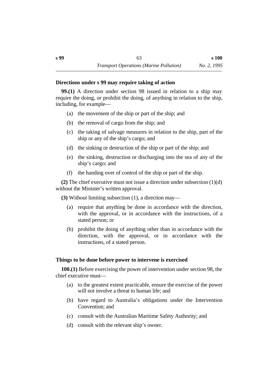#### **˙Directions under s 99 may require taking of action**

**99.(1)** A direction under section 98 issued in relation to a ship may require the doing, or prohibit the doing, of anything in relation to the ship, including, for example—

- (a) the movement of the ship or part of the ship; and
- (b) the removal of cargo from the ship; and
- (c) the taking of salvage measures in relation to the ship, part of the ship or any of the ship's cargo; and
- (d) the sinking or destruction of the ship or part of the ship; and
- (e) the sinking, destruction or discharging into the sea of any of the ship's cargo; and
- (f) the handing over of control of the ship or part of the ship.

**(2)** The chief executive must not issue a direction under subsection (1)(d) without the Minister's written approval.

**(3)** Without limiting subsection (1), a direction may—

- (a) require that anything be done in accordance with the direction, with the approval, or in accordance with the instructions, of a stated person; or
- (b) prohibit the doing of anything other than in accordance with the direction, with the approval, or in accordance with the instructions, of a stated person.

# **˙Things to be done before power to intervene is exercised**

**100.(1)** Before exercising the power of intervention under section 98, the chief executive must—

- (a) to the greatest extent practicable, ensure the exercise of the power will not involve a threat to human life; and
- (b) have regard to Australia's obligations under the Intervention Convention; and
- (c) consult with the Australian Maritime Safety Authority; and
- (d) consult with the relevant ship's owner.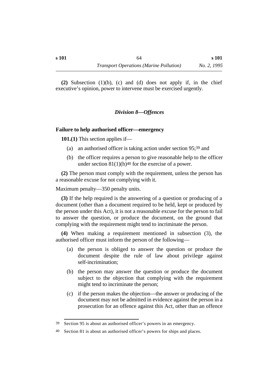**(2)** Subsection (1)(b), (c) and (d) does not apply if, in the chief executive's opinion, power to intervene must be exercised urgently.

# *†Division 8—Offences*

#### **˙Failure to help authorised officer—emergency**

**101.(1)** This section applies if—

- (a) an authorised officer is taking action under section 95;39 and
- (b) the officer requires a person to give reasonable help to the officer under section  $81(1)(h)^{40}$  for the exercise of a power.

**(2)** The person must comply with the requirement, unless the person has a reasonable excuse for not complying with it.

Maximum penalty—350 penalty units.

**(3)** If the help required is the answering of a question or producing of a document (other than a document required to be held, kept or produced by the person under this Act), it is not a reasonable excuse for the person to fail to answer the question, or produce the document, on the ground that complying with the requirement might tend to incriminate the person.

**(4)** When making a requirement mentioned in subsection (3), the authorised officer must inform the person of the following—

- (a) the person is obliged to answer the question or produce the document despite the rule of law about privilege against self-incrimination;
- (b) the person may answer the question or produce the document subject to the objection that complying with the requirement might tend to incriminate the person;
- (c) if the person makes the objection—the answer or producing of the document may not be admitted in evidence against the person in a prosecution for an offence against this Act, other than an offence

<sup>39</sup> Section 95 is about an authorised officer's powers in an emergency.

<sup>40</sup> Section 81 is about an authorised officer's powers for ships and places.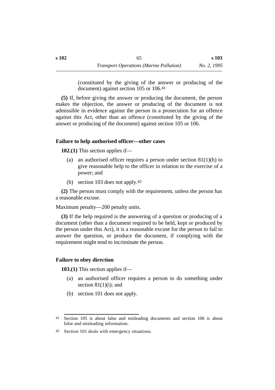(constituted by the giving of the answer or producing of the document) against section 105 or 106.41

**(5)** If, before giving the answer or producing the document, the person makes the objection, the answer or producing of the document is not admissible in evidence against the person in a prosecution for an offence against this Act, other than an offence (constituted by the giving of the answer or producing of the document) against section 105 or 106.

# **˙Failure to help authorised officer—other cases**

**102.(1)** This section applies if—

- (a) an authorised officer requires a person under section  $81(1)(h)$  to give reasonable help to the officer in relation to the exercise of a power; and
- (b) section 103 does not apply.42

**(2)** The person must comply with the requirement, unless the person has a reasonable excuse.

Maximum penalty—200 penalty units.

**(3)** If the help required is the answering of a question or producing of a document (other than a document required to be held, kept or produced by the person under this Act), it is a reasonable excuse for the person to fail to answer the question, or produce the document, if complying with the requirement might tend to incriminate the person.

# **˙Failure to obey direction**

**103.(1)** This section applies if—

- (a) an authorised officer requires a person to do something under section  $81(1)(i)$ ; and
- (b) section 101 does not apply.

<sup>41</sup> Section 105 is about false and misleading documents and section 106 is about false and misleading information.

<sup>42</sup> Section 101 deals with emergency situations.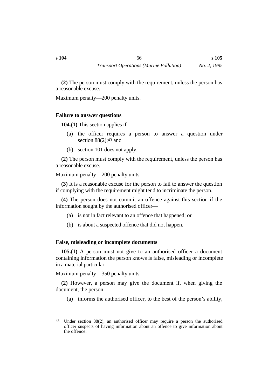**(2)** The person must comply with the requirement, unless the person has a reasonable excuse.

Maximum penalty—200 penalty units.

### **˙Failure to answer questions**

**104.(1)** This section applies if—

- (a) the officer requires a person to answer a question under section 88(2);43 and
- (b) section 101 does not apply.

**(2)** The person must comply with the requirement, unless the person has a reasonable excuse.

Maximum penalty—200 penalty units.

**(3)** It is a reasonable excuse for the person to fail to answer the question if complying with the requirement might tend to incriminate the person.

**(4)** The person does not commit an offence against this section if the information sought by the authorised officer—

- (a) is not in fact relevant to an offence that happened; or
- (b) is about a suspected offence that did not happen.

# **˙False, misleading or incomplete documents**

**105.(1)** A person must not give to an authorised officer a document containing information the person knows is false, misleading or incomplete in a material particular.

Maximum penalty—350 penalty units.

**(2)** However, a person may give the document if, when giving the document, the person—

(a) informs the authorised officer, to the best of the person's ability,

<sup>43</sup> Under section 88(2), an authorised officer may require a person the authorised officer suspects of having information about an offence to give information about the offence.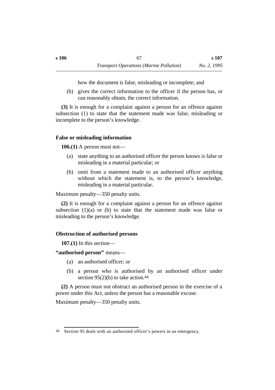how the document is false, misleading or incomplete; and

(b) gives the correct information to the officer if the person has, or can reasonably obtain, the correct information.

**(3)** It is enough for a complaint against a person for an offence against subsection (1) to state that the statement made was false, misleading or incomplete to the person's knowledge.

### **˙False or misleading information**

**106.(1)** A person must not—

- (a) state anything to an authorised officer the person knows is false or misleading in a material particular; or
- (b) omit from a statement made to an authorised officer anything without which the statement is, to the person's knowledge, misleading in a material particular.

Maximum penalty—350 penalty units.

**(2)** It is enough for a complaint against a person for an offence against subsection  $(1)(a)$  or  $(b)$  to state that the statement made was false or misleading to the person's knowledge.

# **˙Obstruction of authorised persons**

**107.(1)** In this section—

**"authorised person"** means—

- (a) an authorised officer; or
- (b) a person who is authorised by an authorised officer under section  $95(2)(b)$  to take action.<sup>44</sup>

**(2)** A person must not obstruct an authorised person in the exercise of a power under this Act, unless the person has a reasonable excuse.

Maximum penalty—350 penalty units.

<sup>44</sup> Section 95 deals with an authorised officer's powers in an emergency.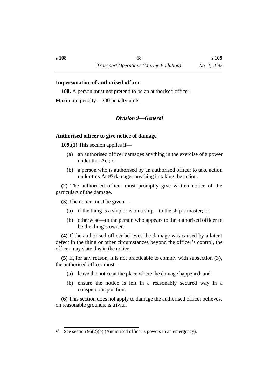#### **˙Impersonation of authorised officer**

**108.** A person must not pretend to be an authorised officer.

Maximum penalty—200 penalty units.

### *†Division 9—General*

#### **˙Authorised officer to give notice of damage**

**109.(1)** This section applies if—

- (a) an authorised officer damages anything in the exercise of a power under this Act; or
- (b) a person who is authorised by an authorised officer to take action under this Act45 damages anything in taking the action.

**(2)** The authorised officer must promptly give written notice of the particulars of the damage.

**(3)** The notice must be given—

- (a) if the thing is a ship or is on a ship—to the ship's master; or
- (b) otherwise—to the person who appears to the authorised officer to be the thing's owner.

**(4)** If the authorised officer believes the damage was caused by a latent defect in the thing or other circumstances beyond the officer's control, the officer may state this in the notice.

**(5)** If, for any reason, it is not practicable to comply with subsection (3), the authorised officer must—

- (a) leave the notice at the place where the damage happened; and
- (b) ensure the notice is left in a reasonably secured way in a conspicuous position.

**(6)** This section does not apply to damage the authorised officer believes, on reasonable grounds, is trivial.

<sup>45</sup> See section 95(2)(b) (Authorised officer's powers in an emergency).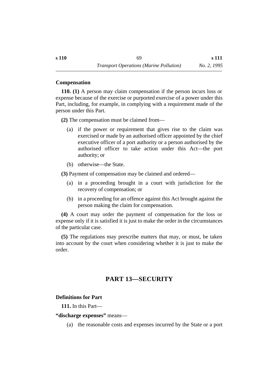### **˙Compensation**

**110. (1)** A person may claim compensation if the person incurs loss or expense because of the exercise or purported exercise of a power under this Part, including, for example, in complying with a requirement made of the person under this Part.

**(2)** The compensation must be claimed from—

- (a) if the power or requirement that gives rise to the claim was exercised or made by an authorised officer appointed by the chief executive officer of a port authority or a person authorised by the authorised officer to take action under this Act—the port authority; or
- (b) otherwise—the State.

**(3)** Payment of compensation may be claimed and ordered—

- (a) in a proceeding brought in a court with jurisdiction for the recovery of compensation; or
- (b) in a proceeding for an offence against this Act brought against the person making the claim for compensation.

**(4)** A court may order the payment of compensation for the loss or expense only if it is satisfied it is just to make the order in the circumstances of the particular case.

**(5)** The regulations may prescribe matters that may, or must, be taken into account by the court when considering whether it is just to make the order.

# **†PART 13—SECURITY**

# **˙Definitions for Part**

**111.** In this Part—

### **"discharge expenses"** means—

(a) the reasonable costs and expenses incurred by the State or a port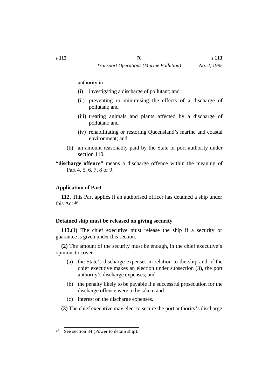authority in—

- (i) investigating a discharge of pollutant; and
- (ii) preventing or minimising the effects of a discharge of pollutant; and
- (iii) treating animals and plants affected by a discharge of pollutant; and
- (iv) rehabilitating or restoring Queensland's marine and coastal environment; and
- (b) an amount reasonably paid by the State or port authority under section 110.

**"discharge offence"** means a discharge offence within the meaning of Part 4, 5, 6, 7, 8 or 9.

#### **˙Application of Part**

**112.** This Part applies if an authorised officer has detained a ship under this Act.46

### **˙Detained ship must be released on giving security**

**113.(1)** The chief executive must release the ship if a security or guarantee is given under this section.

**(2)** The amount of the security must be enough, in the chief executive's opinion, to cover—

- (a) the State's discharge expenses in relation to the ship and, if the chief executive makes an election under subsection (3), the port authority's discharge expenses; and
- (b) the penalty likely to be payable if a successful prosecution for the discharge offence were to be taken; and
- (c) interest on the discharge expenses.

**(3)** The chief executive may elect to secure the port authority's discharge

<sup>46</sup> See section 84 (Power to detain ship).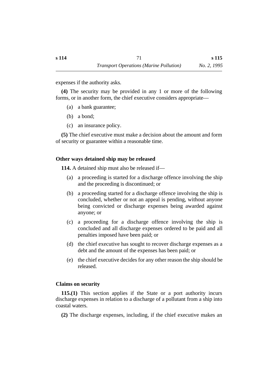expenses if the authority asks.

**(4)** The security may be provided in any 1 or more of the following forms, or in another form, the chief executive considers appropriate—

- (a) a bank guarantee;
- (b) a bond;
- (c) an insurance policy.

**(5)** The chief executive must make a decision about the amount and form of security or guarantee within a reasonable time.

### **˙Other ways detained ship may be released**

**114.** A detained ship must also be released if—

- (a) a proceeding is started for a discharge offence involving the ship and the proceeding is discontinued; or
- (b) a proceeding started for a discharge offence involving the ship is concluded, whether or not an appeal is pending, without anyone being convicted or discharge expenses being awarded against anyone; or
- (c) a proceeding for a discharge offence involving the ship is concluded and all discharge expenses ordered to be paid and all penalties imposed have been paid; or
- (d) the chief executive has sought to recover discharge expenses as a debt and the amount of the expenses has been paid; or
- (e) the chief executive decides for any other reason the ship should be released.

### **˙Claims on security**

**115.(1)** This section applies if the State or a port authority incurs discharge expenses in relation to a discharge of a pollutant from a ship into coastal waters.

**(2)** The discharge expenses, including, if the chief executive makes an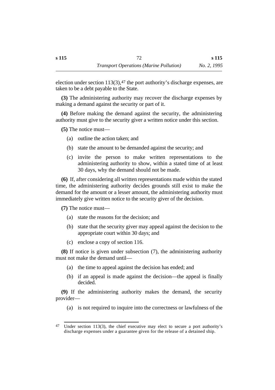election under section  $113(3)$ ,  $47$  the port authority's discharge expenses, are taken to be a debt payable to the State.

**(3)** The administering authority may recover the discharge expenses by making a demand against the security or part of it.

**(4)** Before making the demand against the security, the administering authority must give to the security giver a written notice under this section.

**(5)** The notice must—

- (a) outline the action taken; and
- (b) state the amount to be demanded against the security; and
- (c) invite the person to make written representations to the administering authority to show, within a stated time of at least 30 days, why the demand should not be made.

**(6)** If, after considering all written representations made within the stated time, the administering authority decides grounds still exist to make the demand for the amount or a lesser amount, the administering authority must immediately give written notice to the security giver of the decision.

**(7)** The notice must—

- (a) state the reasons for the decision; and
- (b) state that the security giver may appeal against the decision to the appropriate court within 30 days; and
- (c) enclose a copy of section 116.

**(8)** If notice is given under subsection (7), the administering authority must not make the demand until—

- (a) the time to appeal against the decision has ended; and
- (b) if an appeal is made against the decision—the appeal is finally decided.

**(9)** If the administering authority makes the demand, the security provider—

(a) is not required to inquire into the correctness or lawfulness of the

<sup>47</sup> Under section 113(3), the chief executive may elect to secure a port authority's discharge expenses under a guarantee given for the release of a detained ship.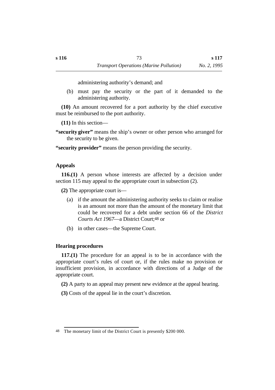administering authority's demand; and

(b) must pay the security or the part of it demanded to the administering authority.

**(10)** An amount recovered for a port authority by the chief executive must be reimbursed to the port authority.

**(11)** In this section—

**"security giver"** means the ship's owner or other person who arranged for the security to be given.

**"security provider"** means the person providing the security.

## **˙Appeals**

**116.(1)** A person whose interests are affected by a decision under section 115 may appeal to the appropriate court in subsection (2).

**(2)** The appropriate court is—

- (a) if the amount the administering authority seeks to claim or realise is an amount not more than the amount of the monetary limit that could be recovered for a debt under section 66 of the *District Courts Act 1967*—a District Court;48 or
- (b) in other cases—the Supreme Court.

## **˙Hearing procedures**

**117.(1)** The procedure for an appeal is to be in accordance with the appropriate court's rules of court or, if the rules make no provision or insufficient provision, in accordance with directions of a Judge of the appropriate court.

**(2)** A party to an appeal may present new evidence at the appeal hearing.

**(3)** Costs of the appeal lie in the court's discretion.

<sup>48</sup> The monetary limit of the District Court is presently \$200 000.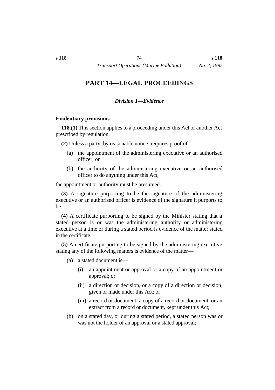#### *†Division 1—Evidence*

#### **˙Evidentiary provisions**

**118.(1)** This section applies to a proceeding under this Act or another Act prescribed by regulation.

**(2)** Unless a party, by reasonable notice, requires proof of—

- (a) the appointment of the administering executive or an authorised officer; or
- (b) the authority of the administering executive or an authorised officer to do anything under this Act;

the appointment or authority must be presumed.

**(3)** A signature purporting to be the signature of the administering executive or an authorised officer is evidence of the signature it purports to be.

**(4)** A certificate purporting to be signed by the Minister stating that a stated person is or was the administering authority or administering executive at a time or during a stated period is evidence of the matter stated in the certificate.

**(5)** A certificate purporting to be signed by the administering executive stating any of the following matters is evidence of the matter—

(a) a stated document is—

- (i) an appointment or approval or a copy of an appointment or approval; or
- (ii) a direction or decision, or a copy of a direction or decision, given or made under this Act; or
- (iii) a record or document, a copy of a record or document, or an extract from a record or document, kept under this Act;
- (b) on a stated day, or during a stated period, a stated person was or was not the holder of an approval or a stated approval;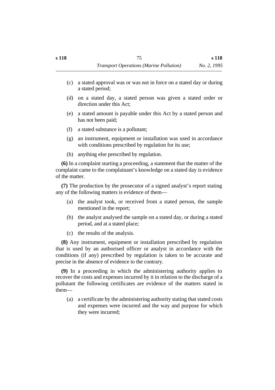- (c) a stated approval was or was not in force on a stated day or during a stated period;
- (d) on a stated day, a stated person was given a stated order or direction under this Act;
- (e) a stated amount is payable under this Act by a stated person and has not been paid;
- (f) a stated substance is a pollutant;
- (g) an instrument, equipment or installation was used in accordance with conditions prescribed by regulation for its use;
- (h) anything else prescribed by regulation.

**(6)** In a complaint starting a proceeding, a statement that the matter of the complaint came to the complainant's knowledge on a stated day is evidence of the matter.

**(7)** The production by the prosecutor of a signed analyst's report stating any of the following matters is evidence of them—

- (a) the analyst took, or received from a stated person, the sample mentioned in the report;
- (b) the analyst analysed the sample on a stated day, or during a stated period, and at a stated place;
- (c) the results of the analysis.

**(8)** Any instrument, equipment or installation prescribed by regulation that is used by an authorised officer or analyst in accordance with the conditions (if any) prescribed by regulation is taken to be accurate and precise in the absence of evidence to the contrary.

**(9)** In a proceeding in which the administering authority applies to recover the costs and expenses incurred by it in relation to the discharge of a pollutant the following certificates are evidence of the matters stated in them—

(a) a certificate by the administering authority stating that stated costs and expenses were incurred and the way and purpose for which they were incurred;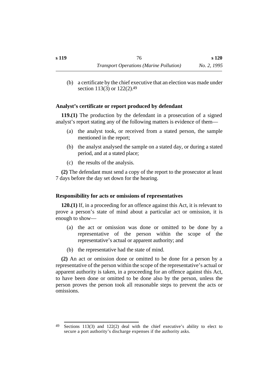(b) a certificate by the chief executive that an election was made under section 113(3) or 122(2).49

## **˙Analyst's certificate or report produced by defendant**

**119.(1)** The production by the defendant in a prosecution of a signed analyst's report stating any of the following matters is evidence of them—

- (a) the analyst took, or received from a stated person, the sample mentioned in the report;
- (b) the analyst analysed the sample on a stated day, or during a stated period, and at a stated place;
- (c) the results of the analysis.

**(2)** The defendant must send a copy of the report to the prosecutor at least 7 days before the day set down for the hearing.

## **˙Responsibility for acts or omissions of representatives**

**120.(1)** If, in a proceeding for an offence against this Act, it is relevant to prove a person's state of mind about a particular act or omission, it is enough to show—

- (a) the act or omission was done or omitted to be done by a representative of the person within the scope of the representative's actual or apparent authority; and
- (b) the representative had the state of mind.

**(2)** An act or omission done or omitted to be done for a person by a representative of the person within the scope of the representative's actual or apparent authority is taken, in a proceeding for an offence against this Act, to have been done or omitted to be done also by the person, unless the person proves the person took all reasonable steps to prevent the acts or omissions.

<sup>49</sup> Sections 113(3) and 122(2) deal with the chief executive's ability to elect to secure a port authority's discharge expenses if the authority asks.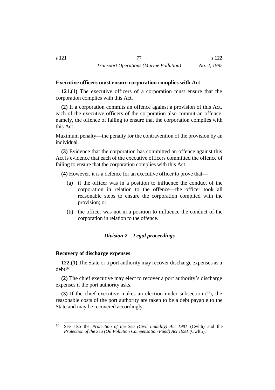## **˙Executive officers must ensure corporation complies with Act**

**121.(1)** The executive officers of a corporation must ensure that the corporation complies with this Act.

**(2)** If a corporation commits an offence against a provision of this Act, each of the executive officers of the corporation also commit an offence, namely, the offence of failing to ensure that the corporation complies with this Act.

Maximum penalty—the penalty for the contravention of the provision by an individual.

**(3)** Evidence that the corporation has committed an offence against this Act is evidence that each of the executive officers committed the offence of failing to ensure that the corporation complies with this Act.

**(4)** However, it is a defence for an executive officer to prove that—

- (a) if the officer was in a position to influence the conduct of the corporation in relation to the offence—the officer took all reasonable steps to ensure the corporation complied with the provision; or
- (b) the officer was not in a position to influence the conduct of the corporation in relation to the offence.

## *†Division 2—Legal proceedings*

#### **˙Recovery of discharge expenses**

**122.(1)** The State or a port authority may recover discharge expenses as a debt.50

**(2)** The chief executive may elect to recover a port authority's discharge expenses if the port authority asks.

**(3)** If the chief executive makes an election under subsection (2), the reasonable costs of the port authority are taken to be a debt payable to the State and may be recovered accordingly.

<sup>50</sup> See also the *Protection of the Sea (Civil Liability) Act 1981* (Cwlth) and the *Protection of the Sea (Oil Pollution Compensation Fund) Act 1993* (Cwlth).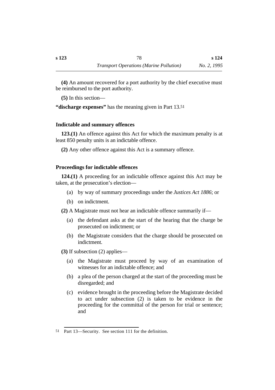**(4)** An amount recovered for a port authority by the chief executive must be reimbursed to the port authority.

**(5)** In this section—

**"discharge expenses"** has the meaning given in Part 13.51

## **˙Indictable and summary offences**

**123.(1)** An offence against this Act for which the maximum penalty is at least 850 penalty units is an indictable offence.

**(2)** Any other offence against this Act is a summary offence.

## **˙Proceedings for indictable offences**

**124.(1)** A proceeding for an indictable offence against this Act may be taken, at the prosecution's election—

- (a) by way of summary proceedings under the *Justices Act 1886*; or
- (b) on indictment.

**(2)** A Magistrate must not hear an indictable offence summarily if—

- (a) the defendant asks at the start of the hearing that the charge be prosecuted on indictment; or
- (b) the Magistrate considers that the charge should be prosecuted on indictment.
- **(3)** If subsection (2) applies—
	- (a) the Magistrate must proceed by way of an examination of witnesses for an indictable offence; and
	- (b) a plea of the person charged at the start of the proceeding must be disregarded; and
	- (c) evidence brought in the proceeding before the Magistrate decided to act under subsection (2) is taken to be evidence in the proceeding for the committal of the person for trial or sentence; and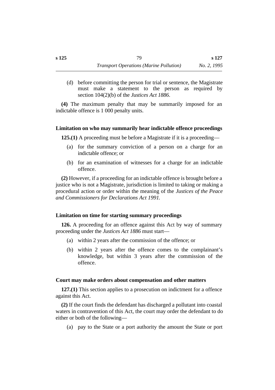(d) before committing the person for trial or sentence, the Magistrate must make a statement to the person as required by section 104(2)(b) of the *Justices Act 1886*.

**(4)** The maximum penalty that may be summarily imposed for an indictable offence is 1 000 penalty units.

### **˙Limitation on who may summarily hear indictable offence proceedings**

**125.(1)** A proceeding must be before a Magistrate if it is a proceeding—

- (a) for the summary conviction of a person on a charge for an indictable offence; or
- (b) for an examination of witnesses for a charge for an indictable offence.

**(2)** However, if a proceeding for an indictable offence is brought before a justice who is not a Magistrate, jurisdiction is limited to taking or making a procedural action or order within the meaning of the *Justices of the Peace and Commissioners for Declarations Act 1991*.

## **˙Limitation on time for starting summary proceedings**

**126.** A proceeding for an offence against this Act by way of summary proceeding under the *Justices Act 1886* must start—

- (a) within 2 years after the commission of the offence; or
- (b) within 2 years after the offence comes to the complainant's knowledge, but within 3 years after the commission of the offence.

#### **˙Court may make orders about compensation and other matters**

**127.(1)** This section applies to a prosecution on indictment for a offence against this Act.

**(2)** If the court finds the defendant has discharged a pollutant into coastal waters in contravention of this Act, the court may order the defendant to do either or both of the following—

(a) pay to the State or a port authority the amount the State or port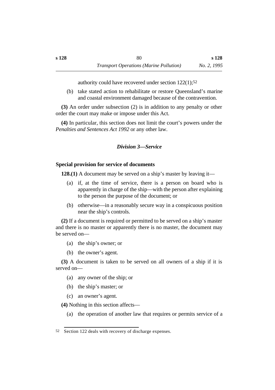authority could have recovered under section 122(1);52

(b) take stated action to rehabilitate or restore Queensland's marine and coastal environment damaged because of the contravention.

**(3)** An order under subsection (2) is in addition to any penalty or other order the court may make or impose under this Act.

**(4)** In particular, this section does not limit the court's powers under the *Penalties and Sentences Act 1992* or any other law.

## *†Division 3—Service*

## **˙Special provision for service of documents**

**128.(1)** A document may be served on a ship's master by leaving it—

- (a) if, at the time of service, there is a person on board who is apparently in charge of the ship—with the person after explaining to the person the purpose of the document; or
- (b) otherwise—in a reasonably secure way in a conspicuous position near the ship's controls.

**(2)** If a document is required or permitted to be served on a ship's master and there is no master or apparently there is no master, the document may be served on—

- (a) the ship's owner; or
- (b) the owner's agent.

**(3)** A document is taken to be served on all owners of a ship if it is served on—

- (a) any owner of the ship; or
- (b) the ship's master; or
- (c) an owner's agent.

**(4)** Nothing in this section affects—

(a) the operation of another law that requires or permits service of a

<sup>52</sup> Section 122 deals with recovery of discharge expenses.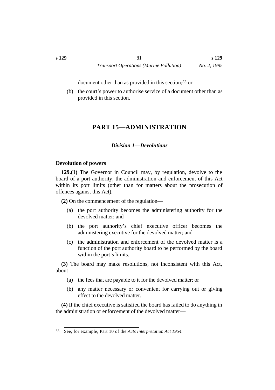document other than as provided in this section;53 or

(b) the court's power to authorise service of a document other than as provided in this section.

# **†PART 15—ADMINISTRATION**

## *†Division 1—Devolutions*

## **˙Devolution of powers**

**129.(1)** The Governor in Council may, by regulation, devolve to the board of a port authority, the administration and enforcement of this Act within its port limits (other than for matters about the prosecution of offences against this Act).

**(2)** On the commencement of the regulation—

- (a) the port authority becomes the administering authority for the devolved matter; and
- (b) the port authority's chief executive officer becomes the administering executive for the devolved matter; and
- (c) the administration and enforcement of the devolved matter is a function of the port authority board to be performed by the board within the port's limits.

**(3)** The board may make resolutions, not inconsistent with this Act, about—

- (a) the fees that are payable to it for the devolved matter; or
- (b) any matter necessary or convenient for carrying out or giving effect to the devolved matter.

**(4)** If the chief executive is satisfied the board has failed to do anything in the administration or enforcement of the devolved matter—

<sup>53</sup> See, for example, Part 10 of the *Acts Interpretation Act 1954*.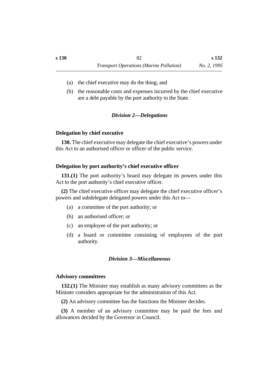- (a) the chief executive may do the thing; and
- (b) the reasonable costs and expenses incurred by the chief executive are a debt payable by the port authority to the State.

### *†Division 2—Delegations*

#### **˙Delegation by chief executive**

**130.** The chief executive may delegate the chief executive's powers under this Act to an authorised officer or officer of the public service.

#### **˙Delegation by port authority's chief executive officer**

**131.(1)** The port authority's board may delegate its powers under this Act to the port authority's chief executive officer.

**(2)** The chief executive officer may delegate the chief executive officer's powers and subdelegate delegated powers under this Act to—

- (a) a committee of the port authority; or
- (b) an authorised officer; or
- (c) an employee of the port authority; or
- (d) a board or committee consisting of employees of the port authority.

## *†Division 3—Miscellaneous*

#### **˙Advisory committees**

**132.(1)** The Minister may establish as many advisory committees as the Minister considers appropriate for the administration of this Act.

**(2)** An advisory committee has the functions the Minister decides.

**(3)** A member of an advisory committee may be paid the fees and allowances decided by the Governor in Council.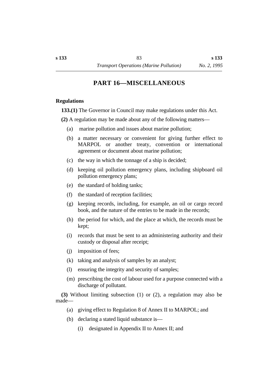## **†PART 16—MISCELLANEOUS**

#### **˙Regulations**

**133.(1)** The Governor in Council may make regulations under this Act.

**(2)** A regulation may be made about any of the following matters—

- (a) marine pollution and issues about marine pollution;
- (b) a matter necessary or convenient for giving further effect to MARPOL or another treaty, convention or international agreement or document about marine pollution;
- (c) the way in which the tonnage of a ship is decided;
- (d) keeping oil pollution emergency plans, including shipboard oil pollution emergency plans;
- (e) the standard of holding tanks;
- (f) the standard of reception facilities;
- (g) keeping records, including, for example, an oil or cargo record book, and the nature of the entries to be made in the records;
- (h) the period for which, and the place at which, the records must be kept;
- (i) records that must be sent to an administering authority and their custody or disposal after receipt;
- (j) imposition of fees;
- (k) taking and analysis of samples by an analyst;
- (l) ensuring the integrity and security of samples;
- (m) prescribing the cost of labour used for a purpose connected with a discharge of pollutant.

**(3)** Without limiting subsection (1) or (2), a regulation may also be made—

- (a) giving effect to Regulation 8 of Annex II to MARPOL; and
- (b) declaring a stated liquid substance is—
	- (i) designated in Appendix II to Annex II; and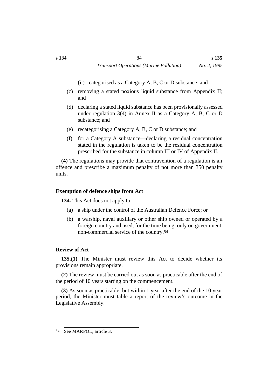- (ii) categorised as a Category A, B, C or D substance; and
- (c) removing a stated noxious liquid substance from Appendix II; and
- (d) declaring a stated liquid substance has been provisionally assessed under regulation 3(4) in Annex II as a Category A, B, C or D substance; and
- (e) recategorising a Category A, B, C or D substance; and
- (f) for a Category A substance—declaring a residual concentration stated in the regulation is taken to be the residual concentration prescribed for the substance in column III or IV of Appendix II.

**(4)** The regulations may provide that contravention of a regulation is an offence and prescribe a maximum penalty of not more than 350 penalty units.

## **˙Exemption of defence ships from Act**

**134.** This Act does not apply to—

- (a) a ship under the control of the Australian Defence Force; or
- (b) a warship, naval auxiliary or other ship owned or operated by a foreign country and used, for the time being, only on government, non-commercial service of the country.54

## **˙Review of Act**

**135.(1)** The Minister must review this Act to decide whether its provisions remain appropriate.

**(2)** The review must be carried out as soon as practicable after the end of the period of 10 years starting on the commencement.

**(3)** As soon as practicable, but within 1 year after the end of the 10 year period, the Minister must table a report of the review's outcome in the Legislative Assembly.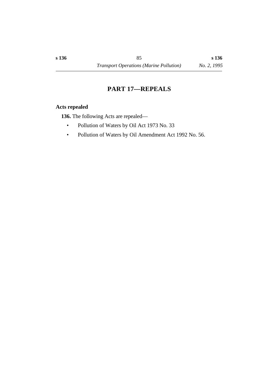## **†PART 17—REPEALS**

## **˙Acts repealed**

**136.** The following Acts are repealed—

- Pollution of Waters by Oil Act 1973 No. 33
- Pollution of Waters by Oil Amendment Act 1992 No. 56.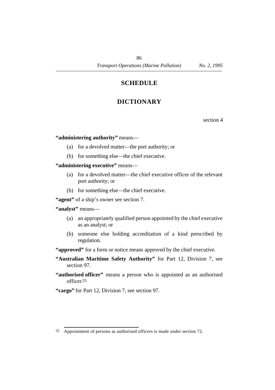## **†SCHEDULE**

# **†DICTIONARY**

section 4

### **"administering authority"** means—

- (a) for a devolved matter—the port authority; or
- (b) for something else—the chief executive.

## **"administering executive"** means—

- (a) for a devolved matter—the chief executive officer of the relevant port authority; or
- (b) for something else—the chief executive.

**"agent"** of a ship's owner see section 7.

### **"analyst"** means—

- (a) an appropriately qualified person appointed by the chief executive as an analyst; or
- (b) someone else holding accreditation of a kind prescribed by regulation.

"**approved**" for a form or notice means approved by the chief executive.

- **"Australian Maritime Safety Authority"** for Part 12, Division 7, see section 97.
- **"authorised officer"** means a person who is appointed as an authorised officer.55
- **"cargo"** for Part 12, Division 7, see section 97.

<sup>55</sup> Appointment of persons as authorised officers is made under section 72.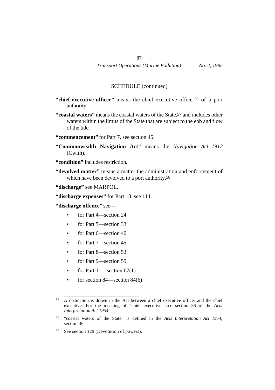- **"chief executive officer"** means the chief executive officer56 of a port authority.
- **"coastal waters"** means the coastal waters of the State,57 and includes other waters within the limits of the State that are subject to the ebb and flow of the tide.
- **"commencement"** for Part 7, see section 45.
- **"Commonwealth Navigation Act"** means the *Navigation Act 1912* (Cwlth).
- **"condition"** includes restriction.
- **"devolved matter"** means a matter the administration and enforcement of which have been devolved to a port authority.58

**"discharge"** see MARPOL.

**"discharge expenses"** for Part 13, see 111.

**"discharge offence"** see—

- for Part 4—section 24
- for Part 5—section 33
- for Part 6—section 40
- for Part 7—section 45
- for Part 8—section 53
- for Part 9—section 59
- for Part  $11$ —section  $67(1)$
- for section 84—section 84(6)

<sup>56</sup> A distinction is drawn in the Act between a chief executive officer and the chief executive. For the meaning of "chief executive" see section 36 of the *Acts Interpretation Act 1954*.

<sup>57</sup> "coastal waters of the State" is defined in the *Acts Interpretation Act 1954*, section 36.

<sup>58</sup> See section 129 (Devolution of powers).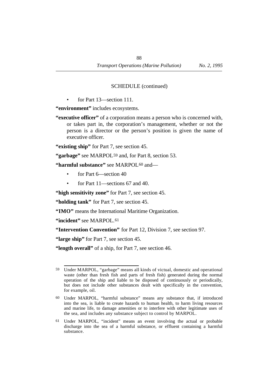• for Part 13—section 111.

**"environment"** includes ecosystems.

**"executive officer"** of a corporation means a person who is concerned with, or takes part in, the corporation's management, whether or not the person is a director or the person's position is given the name of executive officer.

**"existing ship"** for Part 7, see section 45.

**"garbage"** see MARPOL59 and, for Part 8, section 53.

**"harmful substance"** see MARPOL<sup>60</sup> and—

- for Part 6—section 40
- for Part 11—sections 67 and 40.

**"high sensitivity zone"** for Part 7, see section 45.

**"holding tank"** for Part 7, see section 45.

**"IMO"** means the International Maritime Organization.

**"incident"** see MARPOL.61

**"Intervention Convention"** for Part 12, Division 7, see section 97.

**"large ship"** for Part 7, see section 45.

**"length overall"** of a ship, for Part 7, see section 46.

<sup>59</sup> Under MARPOL, "garbage" means all kinds of victual, domestic and operational waste (other than fresh fish and parts of fresh fish) generated during the normal operation of the ship and liable to be disposed of continuously or periodically, but does not include other substances dealt with specifically in the convention, for example, oil.

<sup>60</sup> Under MARPOL, "harmful substance" means any substance that, if introduced into the sea, is liable to create hazards to human health, to harm living resources and marine life, to damage amenities or to interfere with other legitimate uses of the sea, and includes any substance subject to control by MARPOL.

<sup>61</sup> Under MARPOL, "incident" means an event involving the actual or probable discharge into the sea of a harmful substance, or effluent containing a harmful substance.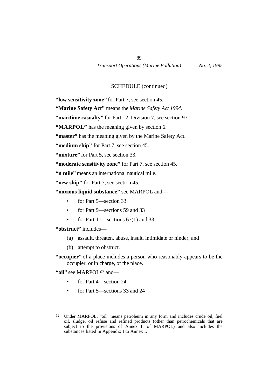**"low sensitivity zone"** for Part 7, see section 45.

**"Marine Safety Act"** means the *Marine Safety Act 1994*.

**"maritime casualty"** for Part 12, Division 7, see section 97.

**"MARPOL"** has the meaning given by section 6.

**"master"** has the meaning given by the Marine Safety Act.

**"medium ship"** for Part 7, see section 45.

**"mixture"** for Part 5, see section 33.

**"moderate sensitivity zone"** for Part 7, see section 45.

**"n mile"** means an international nautical mile.

**"new ship"** for Part 7, see section 45.

- **"noxious liquid substance"** see MARPOL and—
	- for Part 5—section 33
	- for Part 9—sections 59 and 33
	- for Part  $11$ —sections  $67(1)$  and 33.

**"obstruct"** includes—

- (a) assault, threaten, abuse, insult, intimidate or hinder; and
- (b) attempt to obstruct.
- **"occupier"** of a place includes a person who reasonably appears to be the occupier, or in charge, of the place.

**"oil"** see MARPOL62 and—

- for Part 4—section 24
- for Part 5—sections 33 and 24

<sup>62</sup> Under MARPOL, "oil" means petroleum in any form and includes crude oil, fuel oil, sludge, oil refuse and refined products (other than petrochemicals that are subject to the provisions of Annex II of MARPOL) and also includes the substances listed in Appendix I to Annex I.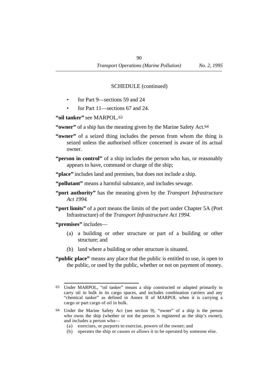- for Part 9—sections 59 and 24
- for Part 11—sections 67 and 24.

**"oil tanker"** see MARPOL.63

"**owner"** of a ship has the meaning given by the Marine Safety Act.<sup>64</sup>

- **"owner"** of a seized thing includes the person from whom the thing is seized unless the authorised officer concerned is aware of its actual owner.
- **"person in control"** of a ship includes the person who has, or reasonably appears to have, command or charge of the ship;

**"place"** includes land and premises, but does not include a ship.

**"pollutant"** means a harmful substance, and includes sewage.

- **"port authority"** has the meaning given by the *Transport Infrastructure Act 1994*.
- **"port limits"** of a port means the limits of the port under Chapter 5A (Port Infrastructure) of the *Transport Infrastructure Act 1994*.

**"premises"** includes—

- (a) a building or other structure or part of a building or other structure; and
- (b) land where a building or other structure is situated.
- **"public place"** means any place that the public is entitled to use, is open to the public, or used by the public, whether or not on payment of money.

<sup>63</sup> Under MARPOL, "oil tanker" means a ship constructed or adapted primarily to carry oil in bulk in its cargo spaces, and includes combination carriers and any "chemical tanker" as defined in Annex II of MARPOL when it is carrying a cargo or part cargo of oil in bulk.

<sup>64</sup> Under the Marine Safety Act (see section 9), "owner" of a ship is the person who owns the ship (whether or not the person is registered as the ship's owner), and includes a person who—

<sup>(</sup>a) exercises, or purports to exercise, powers of the owner; and

<sup>(</sup>b) operates the ship or causes or allows it to be operated by someone else.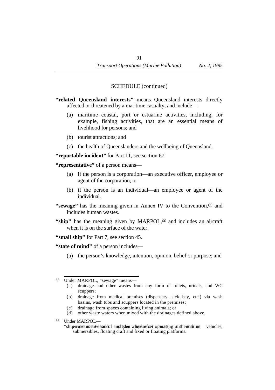- **"related Queensland interests"** means Queensland interests directly affected or threatened by a maritime casualty, and include—
	- (a) maritime coastal, port or estuarine activities, including, for example, fishing activities, that are an essential means of livelihood for persons; and
	- (b) tourist attractions; and
	- (c) the health of Queenslanders and the wellbeing of Queensland.

**"reportable incident"** for Part 11, see section 67.

**"representative"** of a person means—

- (a) if the person is a corporation—an executive officer, employee or agent of the corporation; or
- (b) if the person is an individual—an employee or agent of the individual.
- **"sewage"** has the meaning given in Annex IV to the Convention, 65 and includes human wastes.
- "ship" has the meaning given by MARPOL,<sup>66</sup> and includes an aircraft when it is on the surface of the water.
- **"small ship"** for Part 7, see section 45.

**"state of mind"** of a person includes—

(a) the person's knowledge, intention, opinion, belief or purpose; and

- (a) drainage and other wastes from any form of toilets, urinals, and WC scuppers;
- (b) drainage from medical premises (dispensary, sick bay, etc.) via wash basins, wash tubs and scuppers located in the premises;
- (c) drainage from spaces containing living animals; or
- (d) other waste waters when mixed with the drainages defined above.
- 66 Under MARPOL—
	- "ship" in winter means a vessed dof any ltype what does include to prove that include the maintain vehicles, submersibles, floating craft and fixed or floating platforms.

<sup>65</sup> Under MARPOL, "sewage" means—